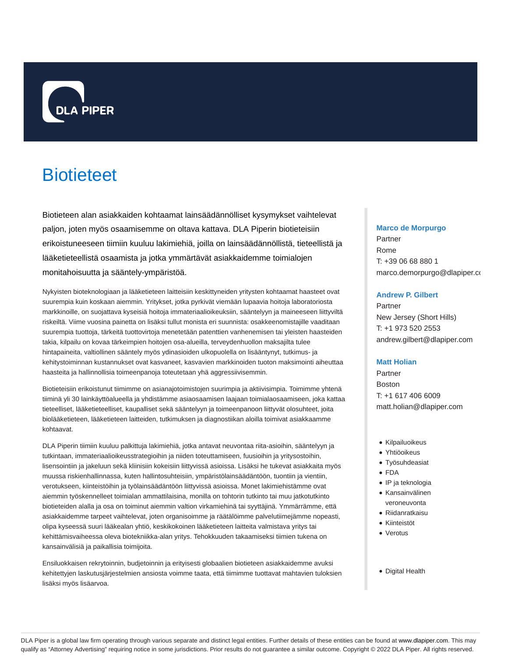

# **Biotieteet**

Biotieteen alan asiakkaiden kohtaamat lainsäädännölliset kysymykset vaihtelevat paljon, joten myös osaamisemme on oltava kattava. DLA Piperin biotieteisiin erikoistuneeseen tiimiin kuuluu lakimiehiä, joilla on lainsäädännöllistä, tieteellistä ja lääketieteellistä osaamista ja jotka ymmärtävät asiakkaidemme toimialojen monitahoisuutta ja sääntely-ympäristöä.

Nykyisten bioteknologiaan ja lääketieteen laitteisiin keskittyneiden yritysten kohtaamat haasteet ovat suurempia kuin koskaan aiemmin. Yritykset, jotka pyrkivät viemään lupaavia hoitoja laboratoriosta markkinoille, on suojattava kyseisiä hoitoja immateriaalioikeuksiin, sääntelyyn ja maineeseen liittyviltä riskeiltä. Viime vuosina painetta on lisäksi tullut monista eri suunnista: osakkeenomistajille vaaditaan suurempia tuottoja, tärkeitä tuottovirtoja menetetään patenttien vanhenemisen tai yleisten haasteiden takia, kilpailu on kovaa tärkeimpien hoitojen osa-alueilla, terveydenhuollon maksajilta tulee hintapaineita, valtiollinen sääntely myös ydinasioiden ulkopuolella on lisääntynyt, tutkimus- ja kehitystoiminnan kustannukset ovat kasvaneet, kasvavien markkinoiden tuoton maksimointi aiheuttaa haasteita ja hallinnollisia toimeenpanoja toteutetaan yhä aggressiivisemmin.

Biotieteisiin erikoistunut tiimimme on asianajotoimistojen suurimpia ja aktiivisimpia. Toimimme yhtenä tiiminä yli 30 lainkäyttöalueella ja yhdistämme asiaosaamisen laajaan toimialaosaamiseen, joka kattaa tieteelliset, lääketieteelliset, kaupalliset sekä sääntelyyn ja toimeenpanoon liittyvät olosuhteet, joita biolääketieteen, lääketieteen laitteiden, tutkimuksen ja diagnostiikan aloilla toimivat asiakkaamme kohtaavat.

DLA Piperin tiimiin kuuluu palkittuja lakimiehiä, jotka antavat neuvontaa riita-asioihin, sääntelyyn ja tutkintaan, immateriaalioikeusstrategioihin ja niiden toteuttamiseen, fuusioihin ja yritysostoihin, lisensointiin ja jakeluun sekä kliinisiin kokeisiin liittyvissä asioissa. Lisäksi he tukevat asiakkaita myös muussa riskienhallinnassa, kuten hallintosuhteisiin, ympäristölainsäädäntöön, tuontiin ja vientiin, verotukseen, kiinteistöihin ja työlainsäädäntöön liittyvissä asioissa. Monet lakimiehistämme ovat aiemmin työskennelleet toimialan ammattilaisina, monilla on tohtorin tutkinto tai muu jatkotutkinto biotieteiden alalla ja osa on toiminut aiemmin valtion virkamiehinä tai syyttäjinä. Ymmärrämme, että asiakkaidemme tarpeet vaihtelevat, joten organisoimme ja räätälöimme palvelutiimejämme nopeasti, olipa kyseessä suuri lääkealan yhtiö, keskikokoinen lääketieteen laitteita valmistava yritys tai kehittämisvaiheessa oleva biotekniikka-alan yritys. Tehokkuuden takaamiseksi tiimien tukena on kansainvälisiä ja paikallisia toimijoita.

Ensiluokkaisen rekrytoinnin, budjetoinnin ja erityisesti globaalien biotieteen asiakkaidemme avuksi kehitettyjen laskutusjärjestelmien ansiosta voimme taata, että tiimimme tuottavat mahtavien tuloksien lisäksi myös lisäarvoa.

### **Marco de Morpurgo**

Partner Rome T: +39 06 68 880 1 marco.demorpurgo@dlapiper.co

# **Andrew P. Gilbert**

Partner New Jersey (Short Hills) T: +1 973 520 2553 andrew.gilbert@dlapiper.com

### **Matt Holian**

Partner **Boston** T: +1 617 406 6009 matt.holian@dlapiper.com

- Kilpailuoikeus
- Yhtiöoikeus
- Työsuhdeasiat
- FDA
- IP ja teknologia
- Kansainvälinen veroneuvonta
- Riidanratkaisu
- Kiinteistöt
- Verotus
- Digital Health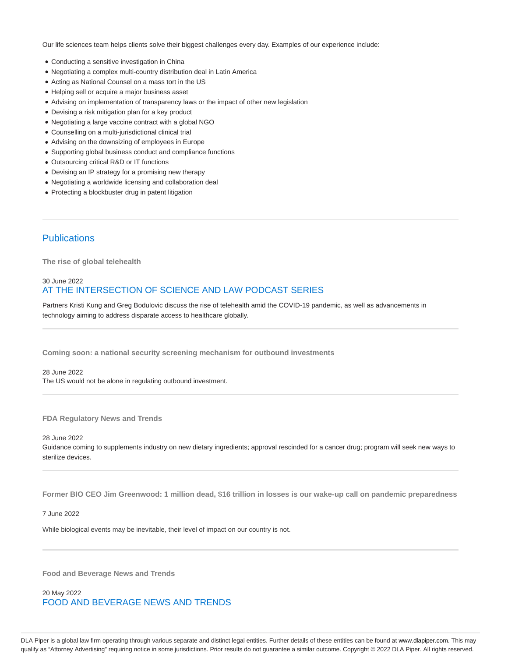Our life sciences team helps clients solve their biggest challenges every day. Examples of our experience include:

- Conducting a sensitive investigation in China
- Negotiating a complex multi-country distribution deal in Latin America
- Acting as National Counsel on a mass tort in the US
- Helping sell or acquire a major business asset
- Advising on implementation of transparency laws or the impact of other new legislation
- Devising a risk mitigation plan for a key product
- Negotiating a large vaccine contract with a global NGO
- Counselling on a multi-jurisdictional clinical trial
- Advising on the downsizing of employees in Europe
- Supporting global business conduct and compliance functions
- Outsourcing critical R&D or IT functions
- Devising an IP strategy for a promising new therapy
- Negotiating a worldwide licensing and collaboration deal
- Protecting a blockbuster drug in patent litigation

# **Publications**

**The rise of global telehealth**

# 30 June 2022 AT THE INTERSECTION OF SCIENCE AND LAW PODCAST SERIES

Partners Kristi Kung and Greg Bodulovic discuss the rise of telehealth amid the COVID-19 pandemic, as well as advancements in technology aiming to address disparate access to healthcare globally.

**Coming soon: a national security screening mechanism for outbound investments**

28 June 2022 The US would not be alone in regulating outbound investment.

**FDA Regulatory News and Trends**

28 June 2022

Guidance coming to supplements industry on new dietary ingredients; approval rescinded for a cancer drug; program will seek new ways to sterilize devices.

**Former BIO CEO Jim Greenwood: 1 million dead, \$16 trillion in losses is our wake-up call on pandemic preparedness**

7 June 2022

While biological events may be inevitable, their level of impact on our country is not.

**Food and Beverage News and Trends**

20 May 2022 FOOD AND BEVERAGE NEWS AND TRENDS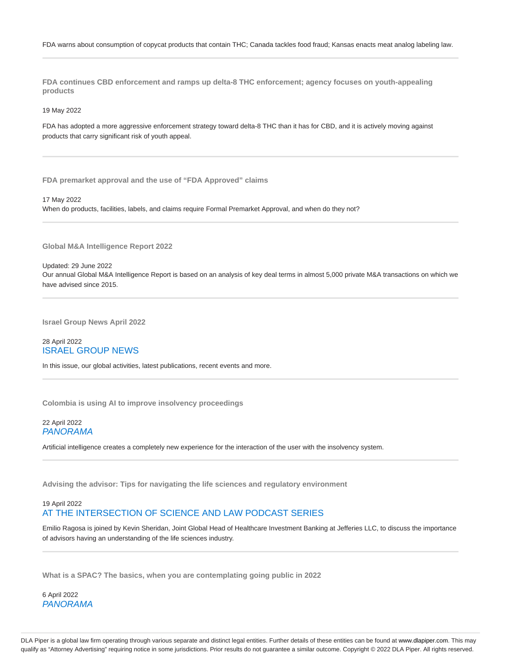**FDA continues CBD enforcement and ramps up delta-8 THC enforcement; agency focuses on youth-appealing products**

19 May 2022

FDA has adopted a more aggressive enforcement strategy toward delta-8 THC than it has for CBD, and it is actively moving against products that carry significant risk of youth appeal.

**FDA premarket approval and the use of "FDA Approved" claims**

### 17 May 2022

When do products, facilities, labels, and claims require Formal Premarket Approval, and when do they not?

**Global M&A Intelligence Report 2022**

Updated: 29 June 2022 Our annual Global M&A Intelligence Report is based on an analysis of key deal terms in almost 5,000 private M&A transactions on which we have advised since 2015.

**Israel Group News April 2022**

# 28 April 2022 ISRAEL GROUP NEWS

In this issue, our global activities, latest publications, recent events and more.

**Colombia is using AI to improve insolvency proceedings**

# 22 April 2022 PANORAMA

Artificial intelligence creates a completely new experience for the interaction of the user with the insolvency system.

**Advising the advisor: Tips for navigating the life sciences and regulatory environment**

# 19 April 2022 AT THE INTERSECTION OF SCIENCE AND LAW PODCAST SERIES

Emilio Ragosa is joined by Kevin Sheridan, Joint Global Head of Healthcare Investment Banking at Jefferies LLC, to discuss the importance of advisors having an understanding of the life sciences industry.

**What is a SPAC? The basics, when you are contemplating going public in 2022**

6 April 2022 PANORAMA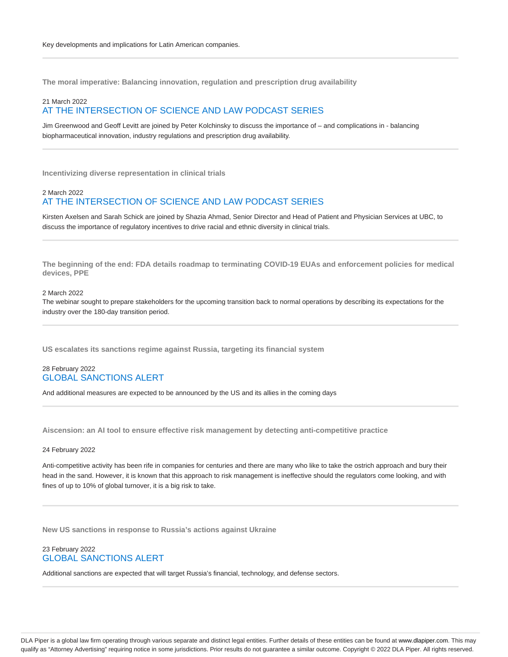**The moral imperative: Balancing innovation, regulation and prescription drug availability**

### 21 March 2022 AT THE INTERSECTION OF SCIENCE AND LAW PODCAST SERIES

Jim Greenwood and Geoff Levitt are joined by Peter Kolchinsky to discuss the importance of – and complications in - balancing biopharmaceutical innovation, industry regulations and prescription drug availability.

**Incentivizing diverse representation in clinical trials**

# 2 March 2022 AT THE INTERSECTION OF SCIENCE AND LAW PODCAST SERIES

Kirsten Axelsen and Sarah Schick are joined by Shazia Ahmad, Senior Director and Head of Patient and Physician Services at UBC, to discuss the importance of regulatory incentives to drive racial and ethnic diversity in clinical trials.

**The beginning of the end: FDA details roadmap to terminating COVID-19 EUAs and enforcement policies for medical devices, PPE**

### 2 March 2022

The webinar sought to prepare stakeholders for the upcoming transition back to normal operations by describing its expectations for the industry over the 180-day transition period.

**US escalates its sanctions regime against Russia, targeting its financial system**

# 28 February 2022 GLOBAL SANCTIONS ALERT

And additional measures are expected to be announced by the US and its allies in the coming days

**Aiscension: an AI tool to ensure effective risk management by detecting anti-competitive practice**

### 24 February 2022

Anti-competitive activity has been rife in companies for centuries and there are many who like to take the ostrich approach and bury their head in the sand. However, it is known that this approach to risk management is ineffective should the regulators come looking, and with fines of up to 10% of global turnover, it is a big risk to take.

**New US sanctions in response to Russia's actions against Ukraine**

# 23 February 2022 GLOBAL SANCTIONS ALERT

Additional sanctions are expected that will target Russia's financial, technology, and defense sectors.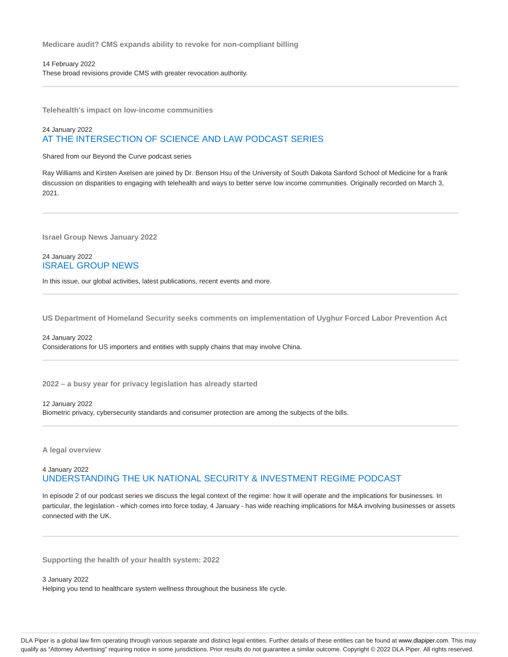**Medicare audit? CMS expands ability to revoke for non-compliant billing**

14 February 2022 These broad revisions provide CMS with greater revocation authority.

**Telehealth's impact on low-income communities**

# 24 January 2022 AT THE INTERSECTION OF SCIENCE AND LAW PODCAST SERIES

Shared from our Beyond the Curve podcast series

Ray Williams and Kirsten Axelsen are joined by Dr. Benson Hsu of the University of South Dakota Sanford School of Medicine for a frank discussion on disparities to engaging with telehealth and ways to better serve low income communities. Originally recorded on March 3, 2021.

**Israel Group News January 2022**

# 24 January 2022 ISRAEL GROUP NEWS

In this issue, our global activities, latest publications, recent events and more.

**US Department of Homeland Security seeks comments on implementation of Uyghur Forced Labor Prevention Act**

# 24 January 2022 Considerations for US importers and entities with supply chains that may involve China.

**2022 – a busy year for privacy legislation has already started**

#### 12 January 2022

Biometric privacy, cybersecurity standards and consumer protection are among the subjects of the bills.

**A legal overview**

# 4 January 2022 UNDERSTANDING THE UK NATIONAL SECURITY & INVESTMENT REGIME PODCAST

In episode 2 of our podcast series we discuss the legal context of the regime: how it will operate and the implications for businesses. In particular, the legislation - which comes into force today, 4 January - has wide reaching implications for M&A involving businesses or assets connected with the UK.

**Supporting the health of your health system: 2022**

3 January 2022 Helping you tend to healthcare system wellness throughout the business life cycle.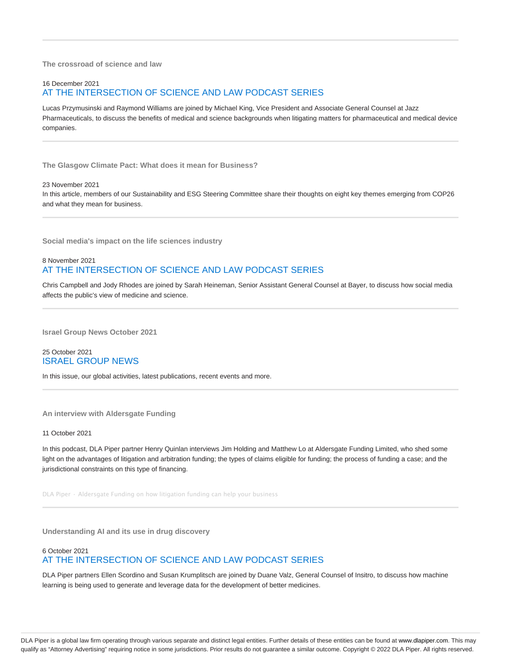**The crossroad of science and law**

# 16 December 2021

# AT THE INTERSECTION OF SCIENCE AND LAW PODCAST SERIES

Lucas Przymusinski and Raymond Williams are joined by Michael King, Vice President and Associate General Counsel at Jazz Pharmaceuticals, to discuss the benefits of medical and science backgrounds when litigating matters for pharmaceutical and medical device companies.

**The Glasgow Climate Pact: What does it mean for Business?**

### 23 November 2021

In this article, members of our Sustainability and ESG Steering Committee share their thoughts on eight key themes emerging from COP26 and what they mean for business.

**Social media's impact on the life sciences industry**

# 8 November 2021 AT THE INTERSECTION OF SCIENCE AND LAW PODCAST SERIES

Chris Campbell and Jody Rhodes are joined by Sarah Heineman, Senior Assistant General Counsel at Bayer, to discuss how social media affects the public's view of medicine and science.

**Israel Group News October 2021**

# 25 October 2021 ISRAEL GROUP NEWS

In this issue, our global activities, latest publications, recent events and more.

**An interview with Aldersgate Funding**

#### 11 October 2021

In this podcast, DLA Piper partner Henry Quinlan interviews Jim Holding and Matthew Lo at Aldersgate Funding Limited, who shed some light on the advantages of litigation and arbitration funding; the types of claims eligible for funding; the process of funding a case; and the jurisdictional constraints on this type of financing.

DLA Piper · Aldersgate Funding on how litigation funding can help your business

**Understanding AI and its use in drug discovery**

# 6 October 2021 AT THE INTERSECTION OF SCIENCE AND LAW PODCAST SERIES

DLA Piper partners Ellen Scordino and Susan Krumplitsch are joined by Duane Valz, General Counsel of Insitro, to discuss how machine learning is being used to generate and leverage data for the development of better medicines.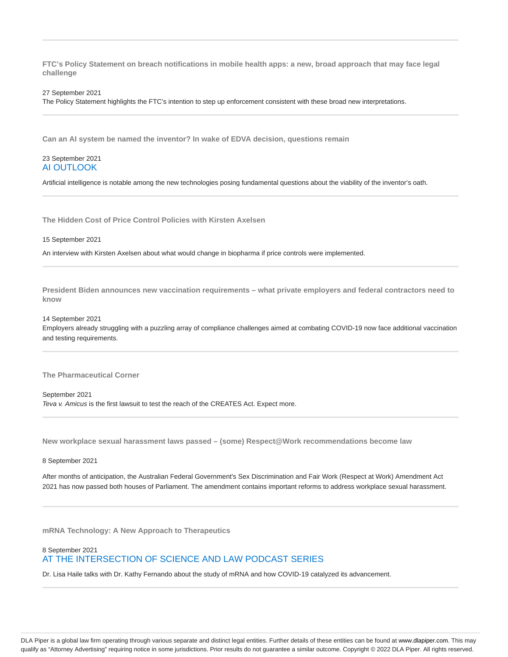**FTC's Policy Statement on breach notifications in mobile health apps: a new, broad approach that may face legal challenge**

#### 27 September 2021

The Policy Statement highlights the FTC's intention to step up enforcement consistent with these broad new interpretations.

**Can an AI system be named the inventor? In wake of EDVA decision, questions remain**

# 23 September 2021 AI OUTLOOK

Artificial intelligence is notable among the new technologies posing fundamental questions about the viability of the inventor's oath.

**The Hidden Cost of Price Control Policies with Kirsten Axelsen**

#### 15 September 2021

An interview with Kirsten Axelsen about what would change in biopharma if price controls were implemented.

**President Biden announces new vaccination requirements – what private employers and federal contractors need to know**

#### 14 September 2021

Employers already struggling with a puzzling array of compliance challenges aimed at combating COVID-19 now face additional vaccination and testing requirements.

**The Pharmaceutical Corner**

September 2021 Teva v. Amicus is the first lawsuit to test the reach of the CREATES Act. Expect more.

**New workplace sexual harassment laws passed – (some) Respect@Work recommendations become law**

# 8 September 2021

After months of anticipation, the Australian Federal Government's Sex Discrimination and Fair Work (Respect at Work) Amendment Act 2021 has now passed both houses of Parliament. The amendment contains important reforms to address workplace sexual harassment.

**mRNA Technology: A New Approach to Therapeutics**

# 8 September 2021 AT THE INTERSECTION OF SCIENCE AND LAW PODCAST SERIES

Dr. Lisa Haile talks with Dr. Kathy Fernando about the study of mRNA and how COVID-19 catalyzed its advancement.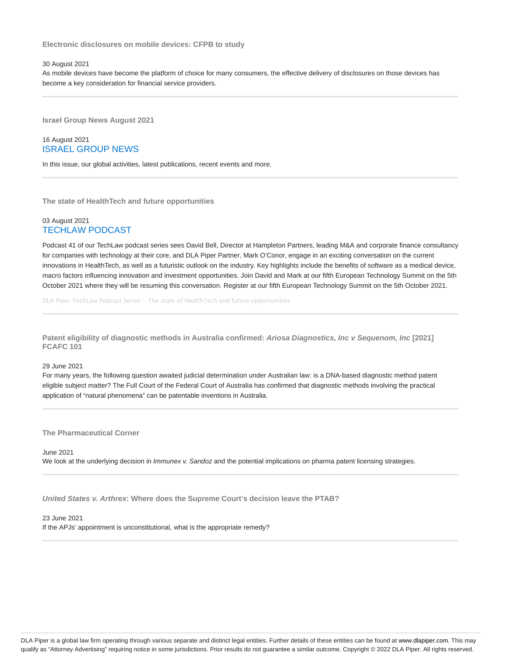**Electronic disclosures on mobile devices: CFPB to study**

### 30 August 2021

As mobile devices have become the platform of choice for many consumers, the effective delivery of disclosures on those devices has become a key consideration for financial service providers.

**Israel Group News August 2021**

# 16 August 2021 ISRAEL GROUP NEWS

In this issue, our global activities, latest publications, recent events and more.

**The state of HealthTech and future opportunities**

# 03 August 2021 TECHLAW PODCAST

Podcast 41 of our TechLaw podcast series sees David Bell, Director at Hampleton Partners, leading M&A and corporate finance consultancy for companies with technology at their core, and DLA Piper Partner, Mark O'Conor, engage in an exciting conversation on the current innovations in HealthTech, as well as a futuristic outlook on the industry. Key highlights include the benefits of software as a medical device, macro factors influencing innovation and investment opportunities. Join David and Mark at our fifth European Technology Summit on the 5th October 2021 where they will be resuming this conversation. Register at our fifth European Technology Summit on the 5th October 2021.

DLA Piper TechLaw Podcast Series · The state of HealthTech and future opportunities

**Patent eligibility of diagnostic methods in Australia confirmed: Ariosa Diagnostics, Inc v Sequenom, Inc [2021] FCAFC 101**

## 29 June 2021

For many years, the following question awaited judicial determination under Australian law: is a DNA-based diagnostic method patent eligible subject matter? The Full Court of the Federal Court of Australia has confirmed that diagnostic methods involving the practical application of "natural phenomena" can be patentable inventions in Australia.

**The Pharmaceutical Corner**

June 2021 We look at the underlying decision in Immunex v. Sandoz and the potential implications on pharma patent licensing strategies.

**United States v. Arthrex: Where does the Supreme Court's decision leave the PTAB?**

23 June 2021 If the APJs' appointment is unconstitutional, what is the appropriate remedy?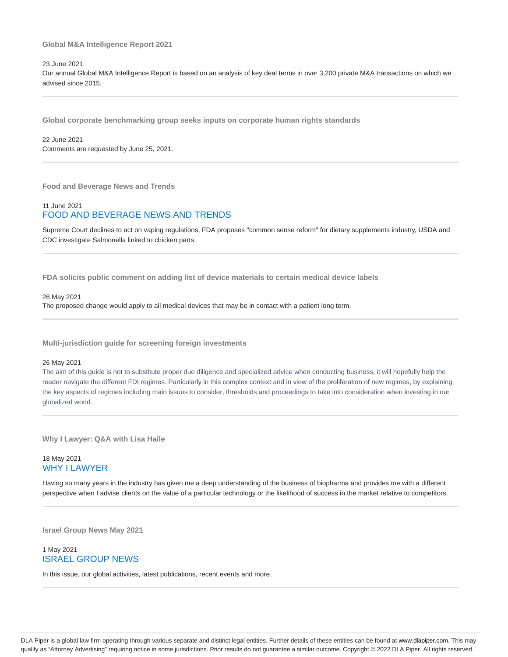### **Global M&A Intelligence Report 2021**

### 23 June 2021

Our annual Global M&A Intelligence Report is based on an analysis of key deal terms in over 3,200 private M&A transactions on which we advised since 2015.

**Global corporate benchmarking group seeks inputs on corporate human rights standards**

22 June 2021 Comments are requested by June 25, 2021.

**Food and Beverage News and Trends**

# 11 June 2021 FOOD AND BEVERAGE NEWS AND TRENDS

Supreme Court declines to act on vaping regulations, FDA proposes "common sense reform" for dietary supplements industry, USDA and CDC investigate Salmonella linked to chicken parts.

**FDA solicits public comment on adding list of device materials to certain medical device labels**

#### 26 May 2021

The proposed change would apply to all medical devices that may be in contact with a patient long term.

**Multi-jurisdiction guide for screening foreign investments**

#### 26 May 2021

The aim of this guide is not to substitute proper due diligence and specialized advice when conducting business, it will hopefully help the reader navigate the different FDI regimes. Particularly in this complex context and in view of the proliferation of new regimes, by explaining the key aspects of regimes including main issues to consider, thresholds and proceedings to take into consideration when investing in our globalized world.

**Why I Lawyer: Q&A with Lisa Haile**

# 18 May 2021 WHY I LAWYER

Having so many years in the industry has given me a deep understanding of the business of biopharma and provides me with a different perspective when I advise clients on the value of a particular technology or the likelihood of success in the market relative to competitors.

**Israel Group News May 2021**

# 1 May 2021 ISRAEL GROUP NEWS

In this issue, our global activities, latest publications, recent events and more.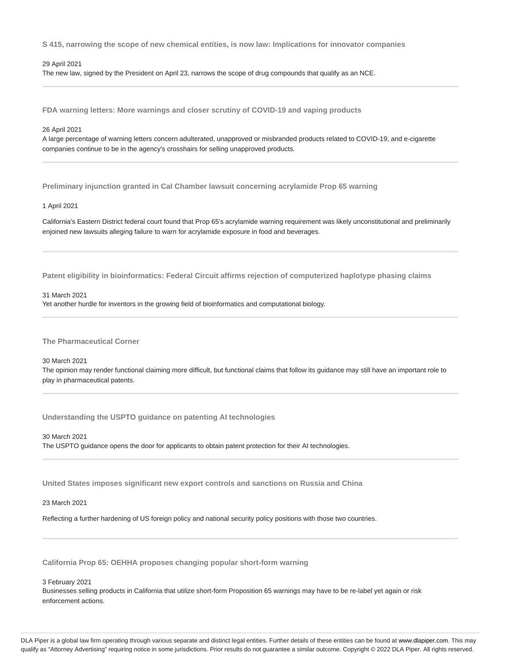**S 415, narrowing the scope of new chemical entities, is now law: Implications for innovator companies**

### 29 April 2021

The new law, signed by the President on April 23, narrows the scope of drug compounds that qualify as an NCE.

**FDA warning letters: More warnings and closer scrutiny of COVID-19 and vaping products**

### 26 April 2021

A large percentage of warning letters concern adulterated, unapproved or misbranded products related to COVID-19, and e-cigarette companies continue to be in the agency's crosshairs for selling unapproved products.

**Preliminary injunction granted in Cal Chamber lawsuit concerning acrylamide Prop 65 warning**

### 1 April 2021

California's Eastern District federal court found that Prop 65's acrylamide warning requirement was likely unconstitutional and preliminarily enjoined new lawsuits alleging failure to warn for acrylamide exposure in food and beverages.

**Patent eligibility in bioinformatics: Federal Circuit affirms rejection of computerized haplotype phasing claims**

### 31 March 2021

Yet another hurdle for inventors in the growing field of bioinformatics and computational biology.

**The Pharmaceutical Corner**

# 30 March 2021

The opinion may render functional claiming more difficult, but functional claims that follow its guidance may still have an important role to play in pharmaceutical patents.

**Understanding the USPTO guidance on patenting AI technologies**

30 March 2021 The USPTO guidance opens the door for applicants to obtain patent protection for their AI technologies.

**United States imposes significant new export controls and sanctions on Russia and China**

23 March 2021

Reflecting a further hardening of US foreign policy and national security policy positions with those two countries.

**California Prop 65: OEHHA proposes changing popular short-form warning**

3 February 2021

Businesses selling products in California that utilize short-form Proposition 65 warnings may have to be re-label yet again or risk enforcement actions.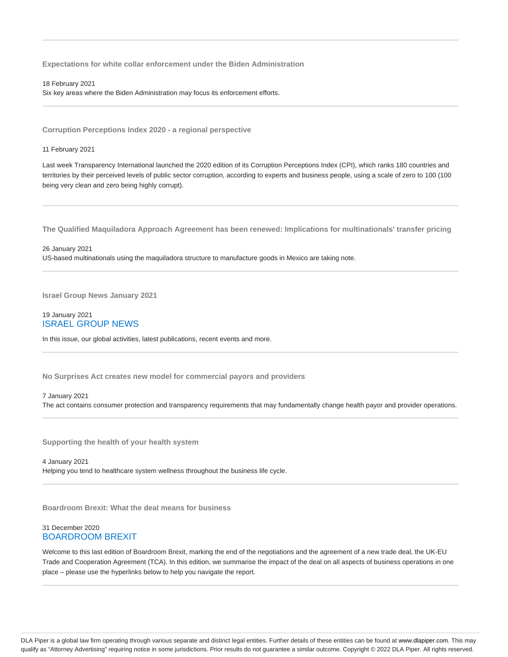**Expectations for white collar enforcement under the Biden Administration**

18 February 2021 Six key areas where the Biden Administration may focus its enforcement efforts.

**Corruption Perceptions Index 2020 - a regional perspective**

11 February 2021

Last week Transparency International launched the 2020 edition of its Corruption Perceptions Index (CPI), which ranks 180 countries and territories by their perceived levels of public sector corruption, according to experts and business people, using a scale of zero to 100 (100 being very clean and zero being highly corrupt).

**The Qualified Maquiladora Approach Agreement has been renewed: Implications for multinationals' transfer pricing**

26 January 2021 US-based multinationals using the maquiladora structure to manufacture goods in Mexico are taking note.

**Israel Group News January 2021**

# 19 January 2021 ISRAEL GROUP NEWS

In this issue, our global activities, latest publications, recent events and more.

**No Surprises Act creates new model for commercial payors and providers**

### 7 January 2021

The act contains consumer protection and transparency requirements that may fundamentally change health payor and provider operations.

**Supporting the health of your health system**

4 January 2021 Helping you tend to healthcare system wellness throughout the business life cycle.

**Boardroom Brexit: What the deal means for business**

# 31 December 2020 BOARDROOM BREXIT

Welcome to this last edition of Boardroom Brexit, marking the end of the negotiations and the agreement of a new trade deal, the UK-EU Trade and Cooperation Agreement (TCA). In this edition, we summarise the impact of the deal on all aspects of business operations in one place – please use the hyperlinks below to help you navigate the report.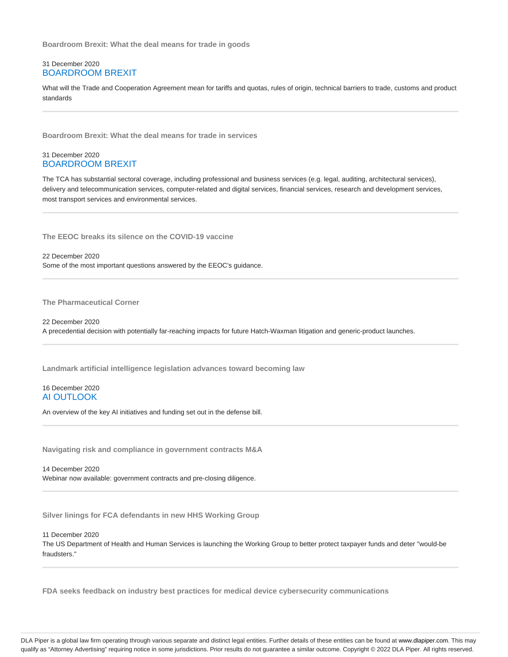**Boardroom Brexit: What the deal means for trade in goods**

# 31 December 2020 BOARDROOM BREXIT

What will the Trade and Cooperation Agreement mean for tariffs and quotas, rules of origin, technical barriers to trade, customs and product standards

**Boardroom Brexit: What the deal means for trade in services**

# 31 December 2020 BOARDROOM BREXIT

The TCA has substantial sectoral coverage, including professional and business services (e.g. legal, auditing, architectural services), delivery and telecommunication services, computer-related and digital services, financial services, research and development services, most transport services and environmental services.

**The EEOC breaks its silence on the COVID-19 vaccine**

22 December 2020 Some of the most important questions answered by the EEOC's guidance.

**The Pharmaceutical Corner**

22 December 2020 A precedential decision with potentially far-reaching impacts for future Hatch-Waxman litigation and generic-product launches.

**Landmark artificial intelligence legislation advances toward becoming law**

# 16 December 2020 AI OUTLOOK

An overview of the key AI initiatives and funding set out in the defense bill.

**Navigating risk and compliance in government contracts M&A**

14 December 2020 Webinar now available: government contracts and pre-closing diligence.

**Silver linings for FCA defendants in new HHS Working Group**

11 December 2020 The US Department of Health and Human Services is launching the Working Group to better protect taxpayer funds and deter "would-be fraudsters."

**FDA seeks feedback on industry best practices for medical device cybersecurity communications**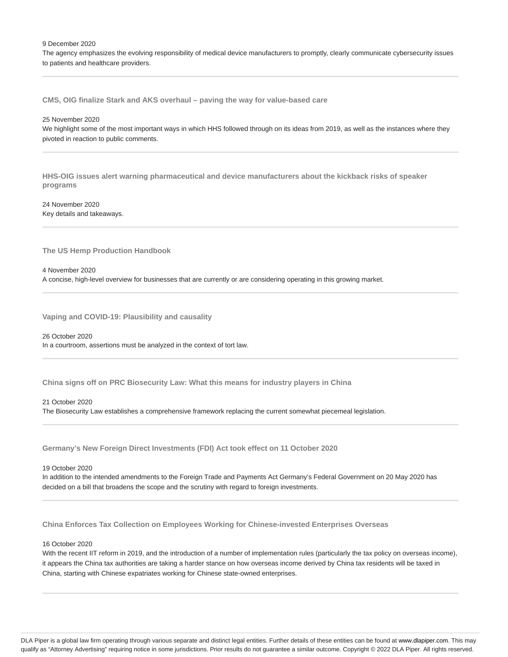9 December 2020

The agency emphasizes the evolving responsibility of medical device manufacturers to promptly, clearly communicate cybersecurity issues to patients and healthcare providers.

**CMS, OIG finalize Stark and AKS overhaul – paving the way for value-based care**

#### 25 November 2020

We highlight some of the most important ways in which HHS followed through on its ideas from 2019, as well as the instances where they pivoted in reaction to public comments.

**HHS-OIG issues alert warning pharmaceutical and device manufacturers about the kickback risks of speaker programs**

24 November 2020 Key details and takeaways.

**The US Hemp Production Handbook**

4 November 2020

A concise, high-level overview for businesses that are currently or are considering operating in this growing market.

**Vaping and COVID-19: Plausibility and causality**

26 October 2020 In a courtroom, assertions must be analyzed in the context of tort law.

**China signs off on PRC Biosecurity Law: What this means for industry players in China**

### 21 October 2020

The Biosecurity Law establishes a comprehensive framework replacing the current somewhat piecemeal legislation.

**Germany's New Foreign Direct Investments (FDI) Act took effect on 11 October 2020**

#### 19 October 2020

In addition to the intended amendments to the Foreign Trade and Payments Act Germany's Federal Government on 20 May 2020 has decided on a bill that broadens the scope and the scrutiny with regard to foreign investments.

**China Enforces Tax Collection on Employees Working for Chinese-invested Enterprises Overseas**

# 16 October 2020

With the recent IIT reform in 2019, and the introduction of a number of implementation rules (particularly the tax policy on overseas income), it appears the China tax authorities are taking a harder stance on how overseas income derived by China tax residents will be taxed in China, starting with Chinese expatriates working for Chinese state-owned enterprises.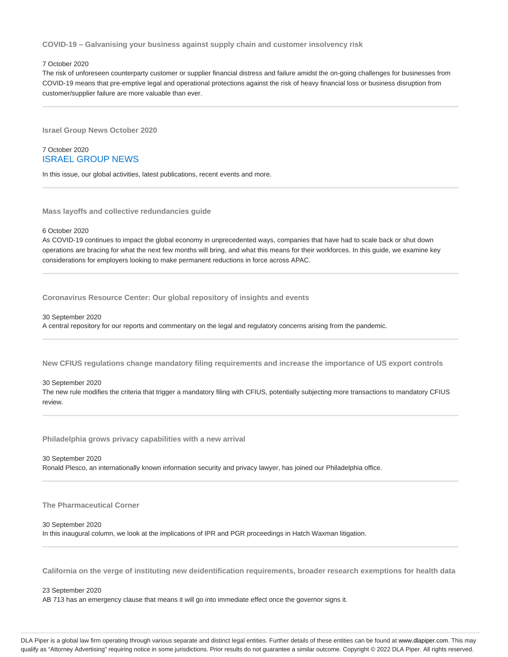**COVID-19 – Galvanising your business against supply chain and customer insolvency risk**

### 7 October 2020

The risk of unforeseen counterparty customer or supplier financial distress and failure amidst the on-going challenges for businesses from COVID-19 means that pre-emptive legal and operational protections against the risk of heavy financial loss or business disruption from customer/supplier failure are more valuable than ever.

**Israel Group News October 2020**

# 7 October 2020 ISRAEL GROUP NEWS

In this issue, our global activities, latest publications, recent events and more.

**Mass layoffs and collective redundancies guide**

### 6 October 2020

As COVID-19 continues to impact the global economy in unprecedented ways, companies that have had to scale back or shut down operations are bracing for what the next few months will bring, and what this means for their workforces. In this guide, we examine key considerations for employers looking to make permanent reductions in force across APAC.

**Coronavirus Resource Center: Our global repository of insights and events**

#### 30 September 2020

A central repository for our reports and commentary on the legal and regulatory concerns arising from the pandemic.

**New CFIUS regulations change mandatory filing requirements and increase the importance of US export controls**

#### 30 September 2020

The new rule modifies the criteria that trigger a mandatory filing with CFIUS, potentially subjecting more transactions to mandatory CFIUS review.

**Philadelphia grows privacy capabilities with a new arrival**

#### 30 September 2020

Ronald Plesco, an internationally known information security and privacy lawyer, has joined our Philadelphia office.

**The Pharmaceutical Corner**

### 30 September 2020

In this inaugural column, we look at the implications of IPR and PGR proceedings in Hatch Waxman litigation.

**California on the verge of instituting new deidentification requirements, broader research exemptions for health data**

23 September 2020

AB 713 has an emergency clause that means it will go into immediate effect once the governor signs it.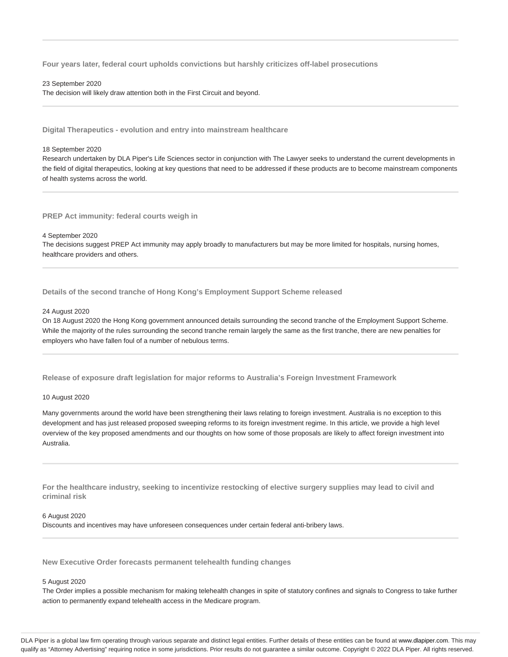**Four years later, federal court upholds convictions but harshly criticizes off-label prosecutions**

#### 23 September 2020

The decision will likely draw attention both in the First Circuit and beyond.

**Digital Therapeutics - evolution and entry into mainstream healthcare**

### 18 September 2020

Research undertaken by DLA Piper's Life Sciences sector in conjunction with The Lawyer seeks to understand the current developments in the field of digital therapeutics, looking at key questions that need to be addressed if these products are to become mainstream components of health systems across the world.

**PREP Act immunity: federal courts weigh in**

#### 4 September 2020

The decisions suggest PREP Act immunity may apply broadly to manufacturers but may be more limited for hospitals, nursing homes, healthcare providers and others.

**Details of the second tranche of Hong Kong's Employment Support Scheme released**

### 24 August 2020

On 18 August 2020 the Hong Kong government announced details surrounding the second tranche of the Employment Support Scheme. While the majority of the rules surrounding the second tranche remain largely the same as the first tranche, there are new penalties for employers who have fallen foul of a number of nebulous terms.

**Release of exposure draft legislation for major reforms to Australia's Foreign Investment Framework**

### 10 August 2020

Many governments around the world have been strengthening their laws relating to foreign investment. Australia is no exception to this development and has just released proposed sweeping reforms to its foreign investment regime. In this article, we provide a high level overview of the key proposed amendments and our thoughts on how some of those proposals are likely to affect foreign investment into Australia.

**For the healthcare industry, seeking to incentivize restocking of elective surgery supplies may lead to civil and criminal risk**

### 6 August 2020

Discounts and incentives may have unforeseen consequences under certain federal anti-bribery laws.

**New Executive Order forecasts permanent telehealth funding changes**

#### 5 August 2020

The Order implies a possible mechanism for making telehealth changes in spite of statutory confines and signals to Congress to take further action to permanently expand telehealth access in the Medicare program.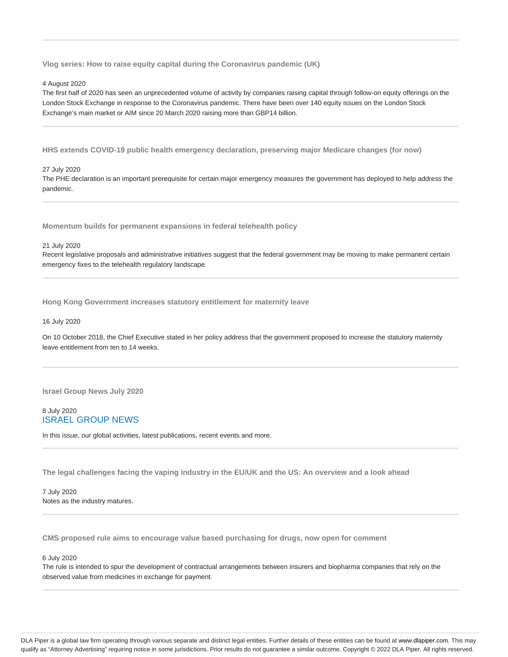**Vlog series: How to raise equity capital during the Coronavirus pandemic (UK)**

### 4 August 2020

The first half of 2020 has seen an unprecedented volume of activity by companies raising capital through follow-on equity offerings on the London Stock Exchange in response to the Coronavirus pandemic. There have been over 140 equity issues on the London Stock Exchange's main market or AIM since 20 March 2020 raising more than GBP14 billion.

**HHS extends COVID-19 public health emergency declaration, preserving major Medicare changes (for now)**

# 27 July 2020

The PHE declaration is an important prerequisite for certain major emergency measures the government has deployed to help address the pandemic.

**Momentum builds for permanent expansions in federal telehealth policy**

#### 21 July 2020

Recent legislative proposals and administrative initiatives suggest that the federal government may be moving to make permanent certain emergency fixes to the telehealth regulatory landscape.

**Hong Kong Government increases statutory entitlement for maternity leave**

### 16 July 2020

On 10 October 2018, the Chief Executive stated in her policy address that the government proposed to increase the statutory maternity leave entitlement from ten to 14 weeks.

**Israel Group News July 2020**

# 8 July 2020 ISRAEL GROUP NEWS

In this issue, our global activities, latest publications, recent events and more.

**The legal challenges facing the vaping industry in the EU/UK and the US: An overview and a look ahead**

7 July 2020 Notes as the industry matures.

**CMS proposed rule aims to encourage value based purchasing for drugs, now open for comment**

### 6 July 2020

The rule is intended to spur the development of contractual arrangements between insurers and biopharma companies that rely on the observed value from medicines in exchange for payment.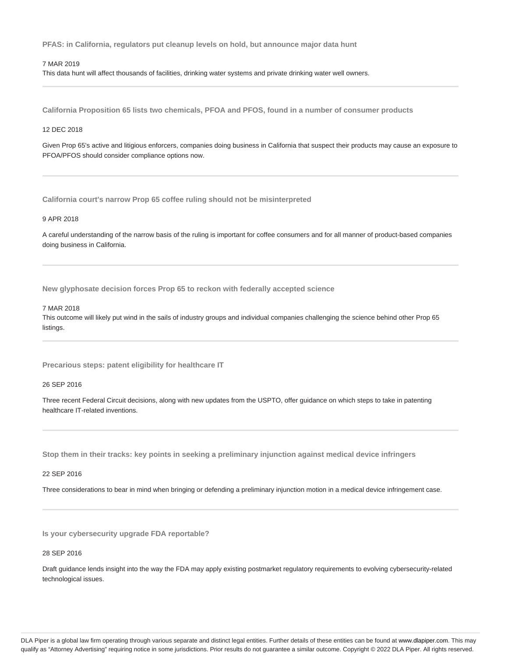**PFAS: in California, regulators put cleanup levels on hold, but announce major data hunt**

### 7 MAR 2019

This data hunt will affect thousands of facilities, drinking water systems and private drinking water well owners.

**California Proposition 65 lists two chemicals, PFOA and PFOS, found in a number of consumer products**

# 12 DEC 2018

Given Prop 65's active and litigious enforcers, companies doing business in California that suspect their products may cause an exposure to PFOA/PFOS should consider compliance options now.

**California court's narrow Prop 65 coffee ruling should not be misinterpreted**

# 9 APR 2018

A careful understanding of the narrow basis of the ruling is important for coffee consumers and for all manner of product-based companies doing business in California.

**New glyphosate decision forces Prop 65 to reckon with federally accepted science**

#### 7 MAR 2018

This outcome will likely put wind in the sails of industry groups and individual companies challenging the science behind other Prop 65 listings.

**Precarious steps: patent eligibility for healthcare IT**

26 SEP 2016

Three recent Federal Circuit decisions, along with new updates from the USPTO, offer guidance on which steps to take in patenting healthcare IT-related inventions.

**Stop them in their tracks: key points in seeking a preliminary injunction against medical device infringers**

### 22 SEP 2016

Three considerations to bear in mind when bringing or defending a preliminary injunction motion in a medical device infringement case.

**Is your cybersecurity upgrade FDA reportable?**

# 28 SEP 2016

Draft guidance lends insight into the way the FDA may apply existing postmarket regulatory requirements to evolving cybersecurity-related technological issues.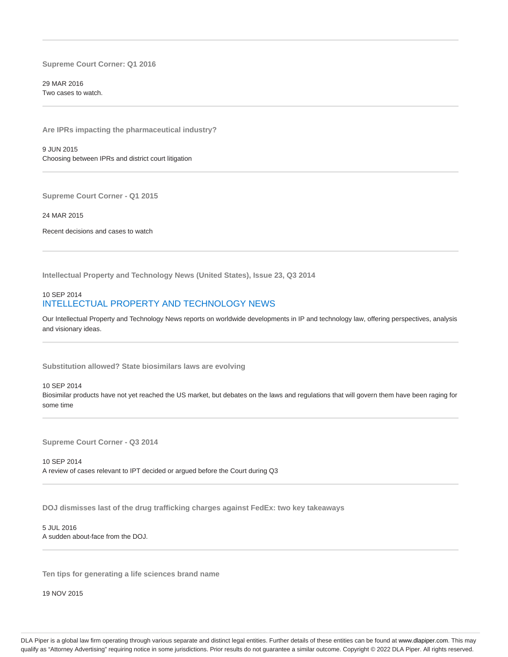**Supreme Court Corner: Q1 2016**

29 MAR 2016 Two cases to watch.

**Are IPRs impacting the pharmaceutical industry?**

9 JUN 2015 Choosing between IPRs and district court litigation

**Supreme Court Corner - Q1 2015**

24 MAR 2015

Recent decisions and cases to watch

**Intellectual Property and Technology News (United States), Issue 23, Q3 2014**

# 10 SEP 2014 INTELLECTUAL PROPERTY AND TECHNOLOGY NEWS

Our Intellectual Property and Technology News reports on worldwide developments in IP and technology law, offering perspectives, analysis and visionary ideas.

**Substitution allowed? State biosimilars laws are evolving**

10 SEP 2014 Biosimilar products have not yet reached the US market, but debates on the laws and regulations that will govern them have been raging for some time

**Supreme Court Corner - Q3 2014**

10 SEP 2014 A review of cases relevant to IPT decided or argued before the Court during Q3

**DOJ dismisses last of the drug trafficking charges against FedEx: two key takeaways**

5 JUL 2016 A sudden about-face from the DOJ.

**Ten tips for generating a life sciences brand name**

19 NOV 2015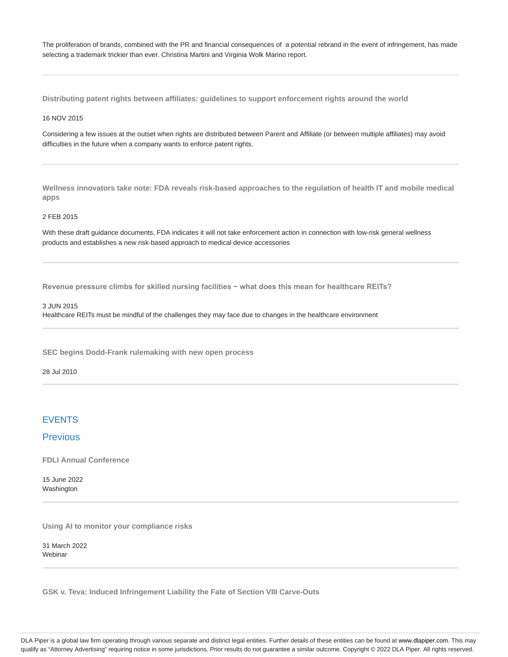The proliferation of brands, combined with the PR and financial consequences of a potential rebrand in the event of infringement, has made selecting a trademark trickier than ever. Christina Martini and Virginia Wolk Marino report.

**Distributing patent rights between affiliates: guidelines to support enforcement rights around the world**

### 16 NOV 2015

Considering a few issues at the outset when rights are distributed between Parent and Affiliate (or between multiple affiliates) may avoid difficulties in the future when a company wants to enforce patent rights.

**Wellness innovators take note: FDA reveals risk-based approaches to the regulation of health IT and mobile medical apps**

### 2 FEB 2015

With these draft guidance documents, FDA indicates it will not take enforcement action in connection with low-risk general wellness products and establishes a new risk-based approach to medical device accessories

**Revenue pressure climbs for skilled nursing facilities − what does this mean for healthcare REITs?**

# 3 JUN 2015

Healthcare REITs must be mindful of the challenges they may face due to changes in the healthcare environment

**SEC begins Dodd-Frank rulemaking with new open process**

28 Jul 2010

# EVENTS

# **Previous**

**FDLI Annual Conference**

15 June 2022 Washington

**Using AI to monitor your compliance risks**

31 March 2022 Webinar

**GSK v. Teva: Induced Infringement Liability the Fate of Section VIII Carve-Outs**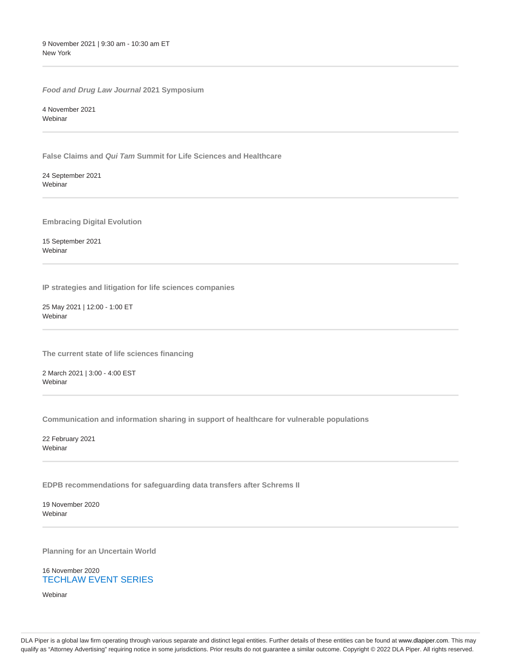9 November 2021 | 9:30 am - 10:30 am ET New York

**Food and Drug Law Journal 2021 Symposium**

4 November 2021 **Webinar** 

**False Claims and Qui Tam Summit for Life Sciences and Healthcare**

24 September 2021 Webinar

**Embracing Digital Evolution**

15 September 2021 Webinar

**IP strategies and litigation for life sciences companies**

25 May 2021 | 12:00 - 1:00 ET Webinar

**The current state of life sciences financing**

2 March 2021 | 3:00 - 4:00 EST Webinar

**Communication and information sharing in support of healthcare for vulnerable populations**

22 February 2021 Webinar

**EDPB recommendations for safeguarding data transfers after Schrems II**

19 November 2020 Webinar

**Planning for an Uncertain World**

16 November 2020 TECHLAW EVENT SERIES

Webinar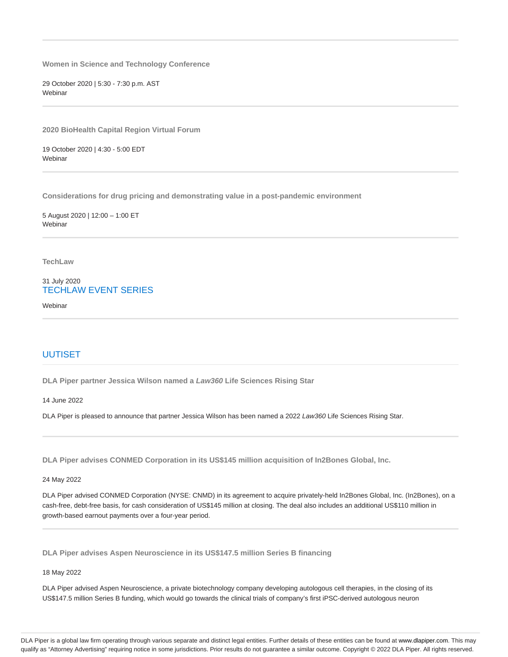**Women in Science and Technology Conference**

29 October 2020 | 5:30 - 7:30 p.m. AST **Webinar** 

**2020 BioHealth Capital Region Virtual Forum**

19 October 2020 | 4:30 - 5:00 EDT **Webinar** 

**Considerations for drug pricing and demonstrating value in a post-pandemic environment**

5 August 2020 | 12:00 – 1:00 ET **Webinar** 

**TechLaw**

31 July 2020 TECHLAW EVENT SERIES

**Webinar** 

# UUTISET

**DLA Piper partner Jessica Wilson named a Law360 Life Sciences Rising Star**

14 June 2022

DLA Piper is pleased to announce that partner Jessica Wilson has been named a 2022 Law360 Life Sciences Rising Star.

**DLA Piper advises CONMED Corporation in its US\$145 million acquisition of In2Bones Global, Inc.**

24 May 2022

DLA Piper advised CONMED Corporation (NYSE: CNMD) in its agreement to acquire privately-held In2Bones Global, Inc. (In2Bones), on a cash-free, debt-free basis, for cash consideration of US\$145 million at closing. The deal also includes an additional US\$110 million in growth-based earnout payments over a four-year period.

**DLA Piper advises Aspen Neuroscience in its US\$147.5 million Series B financing**

18 May 2022

DLA Piper advised Aspen Neuroscience, a private biotechnology company developing autologous cell therapies, in the closing of its US\$147.5 million Series B funding, which would go towards the clinical trials of company's first iPSC-derived autologous neuron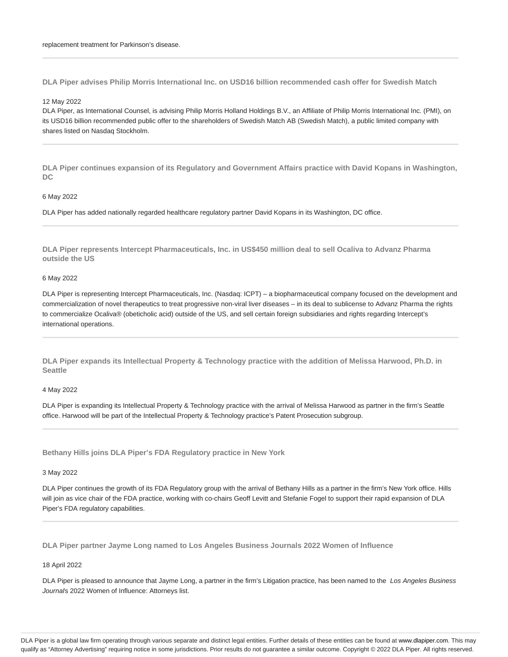**DLA Piper advises Philip Morris International Inc. on USD16 billion recommended cash offer for Swedish Match**

### 12 May 2022

DLA Piper, as International Counsel, is advising Philip Morris Holland Holdings B.V., an Affiliate of Philip Morris International Inc. (PMI), on its USD16 billion recommended public offer to the shareholders of Swedish Match AB (Swedish Match), a public limited company with shares listed on Nasdaq Stockholm.

**DLA Piper continues expansion of its Regulatory and Government Affairs practice with David Kopans in Washington, DC**

### 6 May 2022

DLA Piper has added nationally regarded healthcare regulatory partner David Kopans in its Washington, DC office.

**DLA Piper represents Intercept Pharmaceuticals, Inc. in US\$450 million deal to sell Ocaliva to Advanz Pharma outside the US**

# 6 May 2022

DLA Piper is representing Intercept Pharmaceuticals, Inc. (Nasdaq: ICPT) – a biopharmaceutical company focused on the development and commercialization of novel therapeutics to treat progressive non-viral liver diseases – in its deal to sublicense to Advanz Pharma the rights to commercialize Ocaliva® (obeticholic acid) outside of the US, and sell certain foreign subsidiaries and rights regarding Intercept's international operations.

**DLA Piper expands its Intellectual Property & Technology practice with the addition of Melissa Harwood, Ph.D. in Seattle**

#### 4 May 2022

DLA Piper is expanding its Intellectual Property & Technology practice with the arrival of Melissa Harwood as partner in the firm's Seattle office. Harwood will be part of the Intellectual Property & Technology practice's Patent Prosecution subgroup.

**Bethany Hills joins DLA Piper's FDA Regulatory practice in New York**

#### 3 May 2022

DLA Piper continues the growth of its FDA Regulatory group with the arrival of Bethany Hills as a partner in the firm's New York office. Hills will join as vice chair of the FDA practice, working with co-chairs Geoff Levitt and Stefanie Fogel to support their rapid expansion of DLA Piper's FDA regulatory capabilities.

**DLA Piper partner Jayme Long named to Los Angeles Business Journals 2022 Women of Influence**

### 18 April 2022

DLA Piper is pleased to announce that Jayme Long, a partner in the firm's Litigation practice, has been named to the Los Angeles Business Journals 2022 Women of Influence: Attorneys list.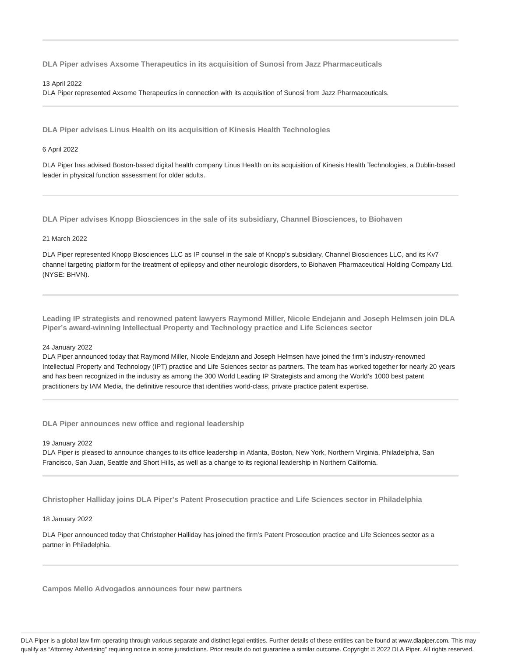**DLA Piper advises Axsome Therapeutics in its acquisition of Sunosi from Jazz Pharmaceuticals**

### 13 April 2022

DLA Piper represented Axsome Therapeutics in connection with its acquisition of Sunosi from Jazz Pharmaceuticals.

**DLA Piper advises Linus Health on its acquisition of Kinesis Health Technologies**

# 6 April 2022

DLA Piper has advised Boston-based digital health company Linus Health on its acquisition of Kinesis Health Technologies, a Dublin-based leader in physical function assessment for older adults.

**DLA Piper advises Knopp Biosciences in the sale of its subsidiary, Channel Biosciences, to Biohaven**

# 21 March 2022

DLA Piper represented Knopp Biosciences LLC as IP counsel in the sale of Knopp's subsidiary, Channel Biosciences LLC, and its Kv7 channel targeting platform for the treatment of epilepsy and other neurologic disorders, to Biohaven Pharmaceutical Holding Company Ltd. (NYSE: BHVN).

**Leading IP strategists and renowned patent lawyers Raymond Miller, Nicole Endejann and Joseph Helmsen join DLA Piper's award-winning Intellectual Property and Technology practice and Life Sciences sector**

### 24 January 2022

DLA Piper announced today that Raymond Miller, Nicole Endejann and Joseph Helmsen have joined the firm's industry-renowned Intellectual Property and Technology (IPT) practice and Life Sciences sector as partners. The team has worked together for nearly 20 years and has been recognized in the industry as among the 300 World Leading IP Strategists and among the World's 1000 best patent practitioners by IAM Media, the definitive resource that identifies world-class, private practice patent expertise.

**DLA Piper announces new office and regional leadership**

# 19 January 2022

DLA Piper is pleased to announce changes to its office leadership in Atlanta, Boston, New York, Northern Virginia, Philadelphia, San Francisco, San Juan, Seattle and Short Hills, as well as a change to its regional leadership in Northern California.

**Christopher Halliday joins DLA Piper's Patent Prosecution practice and Life Sciences sector in Philadelphia**

# 18 January 2022

DLA Piper announced today that Christopher Halliday has joined the firm's Patent Prosecution practice and Life Sciences sector as a partner in Philadelphia.

**Campos Mello Advogados announces four new partners**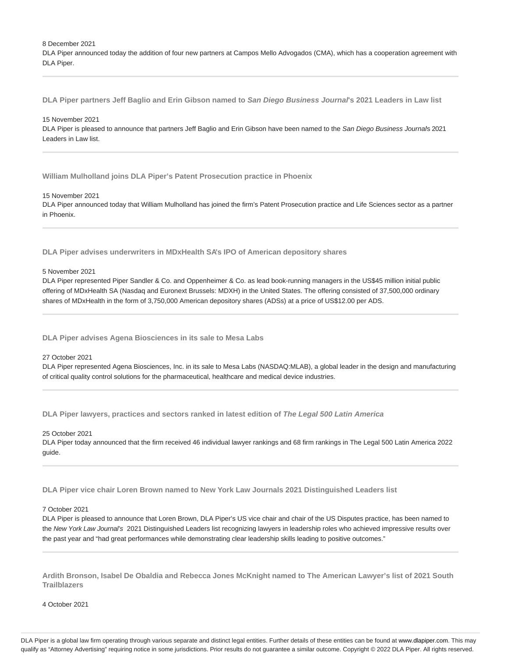8 December 2021

DLA Piper announced today the addition of four new partners at Campos Mello Advogados (CMA), which has a cooperation agreement with DLA Piper.

**DLA Piper partners Jeff Baglio and Erin Gibson named to San Diego Business Journal's 2021 Leaders in Law list**

#### 15 November 2021

DLA Piper is pleased to announce that partners Jeff Baglio and Erin Gibson have been named to the San Diego Business Journal's 2021 Leaders in Law list.

**William Mulholland joins DLA Piper's Patent Prosecution practice in Phoenix**

### 15 November 2021

DLA Piper announced today that William Mulholland has joined the firm's Patent Prosecution practice and Life Sciences sector as a partner in Phoenix.

**DLA Piper advises underwriters in MDxHealth SA's IPO of American depository shares**

#### 5 November 2021

DLA Piper represented Piper Sandler & Co. and Oppenheimer & Co. as lead book-running managers in the US\$45 million initial public offering of MDxHealth SA (Nasdaq and Euronext Brussels: MDXH) in the United States. The offering consisted of 37,500,000 ordinary shares of MDxHealth in the form of 3,750,000 American depository shares (ADSs) at a price of US\$12.00 per ADS.

**DLA Piper advises Agena Biosciences in its sale to Mesa Labs**

### 27 October 2021

DLA Piper represented Agena Biosciences, Inc. in its sale to Mesa Labs (NASDAQ:MLAB), a global leader in the design and manufacturing of critical quality control solutions for the pharmaceutical, healthcare and medical device industries.

**DLA Piper lawyers, practices and sectors ranked in latest edition of The Legal 500 Latin America**

### 25 October 2021

DLA Piper today announced that the firm received 46 individual lawyer rankings and 68 firm rankings in The Legal 500 Latin America 2022 guide.

**DLA Piper vice chair Loren Brown named to New York Law Journals 2021 Distinguished Leaders list**

#### 7 October 2021

DLA Piper is pleased to announce that Loren Brown, DLA Piper's US vice chair and chair of the US Disputes practice, has been named to the New York Law Journal's 2021 Distinguished Leaders list recognizing lawyers in leadership roles who achieved impressive results over the past year and "had great performances while demonstrating clear leadership skills leading to positive outcomes."

**Ardith Bronson, Isabel De Obaldia and Rebecca Jones McKnight named to The American Lawyer's list of 2021 South Trailblazers**

4 October 2021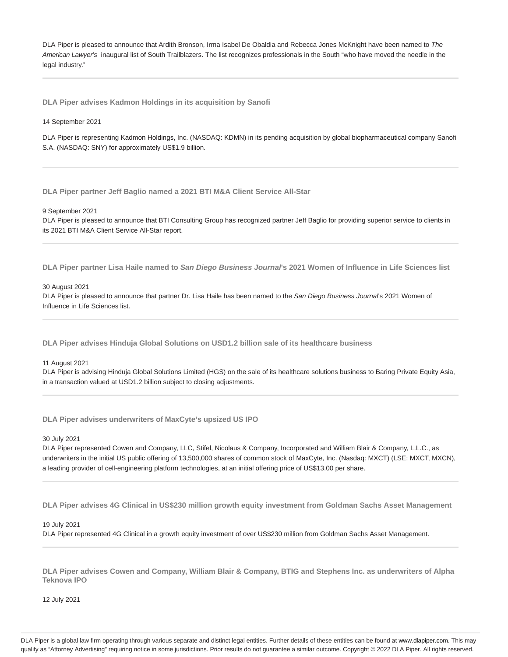DLA Piper is pleased to announce that Ardith Bronson, Irma Isabel De Obaldia and Rebecca Jones McKnight have been named to The American Lawyer's inaugural list of South Trailblazers. The list recognizes professionals in the South "who have moved the needle in the legal industry."

**DLA Piper advises Kadmon Holdings in its acquisition by Sanofi**

14 September 2021

DLA Piper is representing Kadmon Holdings, Inc. (NASDAQ: KDMN) in its pending acquisition by global biopharmaceutical company Sanofi S.A. (NASDAQ: SNY) for approximately US\$1.9 billion.

**DLA Piper partner Jeff Baglio named a 2021 BTI M&A Client Service All-Star**

9 September 2021

DLA Piper is pleased to announce that BTI Consulting Group has recognized partner Jeff Baglio for providing superior service to clients in its 2021 BTI M&A Client Service All-Star report.

**DLA Piper partner Lisa Haile named to San Diego Business Journal's 2021 Women of Influence in Life Sciences list**

30 August 2021

DLA Piper is pleased to announce that partner Dr. Lisa Haile has been named to the San Diego Business Journal's 2021 Women of Influence in Life Sciences list.

**DLA Piper advises Hinduja Global Solutions on USD1.2 billion sale of its healthcare business**

11 August 2021

DLA Piper is advising Hinduja Global Solutions Limited (HGS) on the sale of its healthcare solutions business to Baring Private Equity Asia, in a transaction valued at USD1.2 billion subject to closing adjustments.

**DLA Piper advises underwriters of MaxCyte's upsized US IPO**

30 July 2021

DLA Piper represented Cowen and Company, LLC, Stifel, Nicolaus & Company, Incorporated and William Blair & Company, L.L.C., as underwriters in the initial US public offering of 13,500,000 shares of common stock of MaxCyte, Inc. (Nasdaq: MXCT) (LSE: MXCT, MXCN), a leading provider of cell-engineering platform technologies, at an initial offering price of US\$13.00 per share.

**DLA Piper advises 4G Clinical in US\$230 million growth equity investment from Goldman Sachs Asset Management**

19 July 2021

DLA Piper represented 4G Clinical in a growth equity investment of over US\$230 million from Goldman Sachs Asset Management.

**DLA Piper advises Cowen and Company, William Blair & Company, BTIG and Stephens Inc. as underwriters of Alpha Teknova IPO**

12 July 2021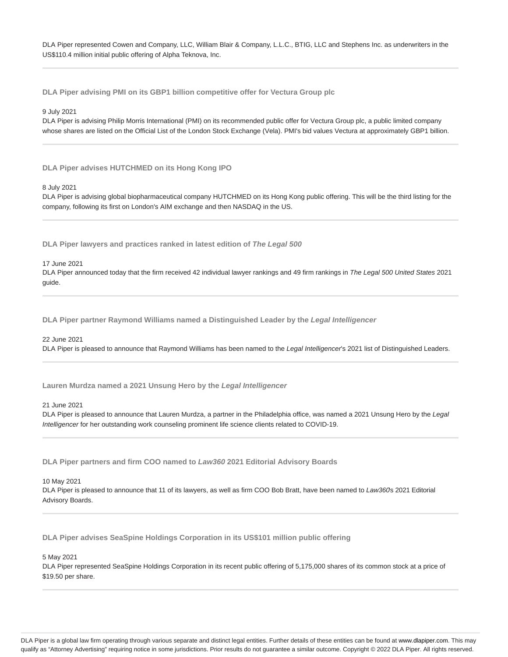DLA Piper represented Cowen and Company, LLC, William Blair & Company, L.L.C., BTIG, LLC and Stephens Inc. as underwriters in the US\$110.4 million initial public offering of Alpha Teknova, Inc.

**DLA Piper advising PMI on its GBP1 billion competitive offer for Vectura Group plc**

9 July 2021

DLA Piper is advising Philip Morris International (PMI) on its recommended public offer for Vectura Group plc, a public limited company whose shares are listed on the Official List of the London Stock Exchange (Vela). PMI's bid values Vectura at approximately GBP1 billion.

**DLA Piper advises HUTCHMED on its Hong Kong IPO**

8 July 2021

DLA Piper is advising global biopharmaceutical company HUTCHMED on its Hong Kong public offering. This will be the third listing for the company, following its first on London's AIM exchange and then NASDAQ in the US.

**DLA Piper lawyers and practices ranked in latest edition of The Legal 500**

17 June 2021

DLA Piper announced today that the firm received 42 individual lawyer rankings and 49 firm rankings in The Legal 500 United States 2021 guide.

**DLA Piper partner Raymond Williams named a Distinguished Leader by the Legal Intelligencer**

22 June 2021

DLA Piper is pleased to announce that Raymond Williams has been named to the Legal Intelligencer's 2021 list of Distinguished Leaders.

**Lauren Murdza named a 2021 Unsung Hero by the Legal Intelligencer**

21 June 2021

DLA Piper is pleased to announce that Lauren Murdza, a partner in the Philadelphia office, was named a 2021 Unsung Hero by the Legal Intelligencer for her outstanding work counseling prominent life science clients related to COVID-19.

**DLA Piper partners and firm COO named to Law360 2021 Editorial Advisory Boards**

10 May 2021

DLA Piper is pleased to announce that 11 of its lawyers, as well as firm COO Bob Bratt, have been named to Law360s 2021 Editorial Advisory Boards.

**DLA Piper advises SeaSpine Holdings Corporation in its US\$101 million public offering**

5 May 2021

DLA Piper represented SeaSpine Holdings Corporation in its recent public offering of 5,175,000 shares of its common stock at a price of \$19.50 per share.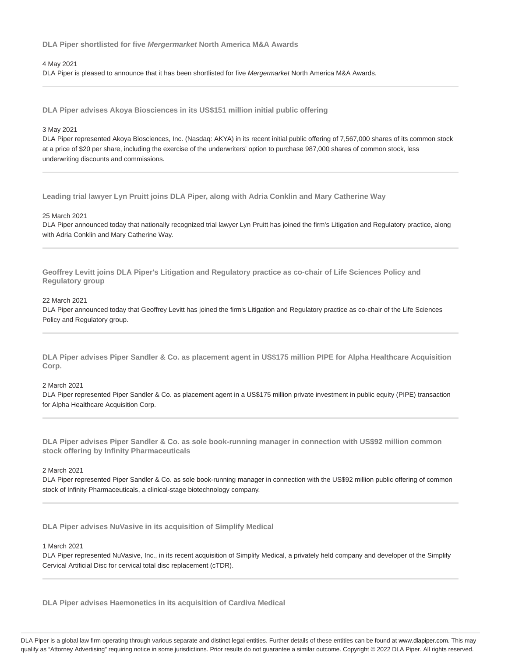### **DLA Piper shortlisted for five Mergermarket North America M&A Awards**

### 4 May 2021

DLA Piper is pleased to announce that it has been shortlisted for five Mergermarket North America M&A Awards.

**DLA Piper advises Akoya Biosciences in its US\$151 million initial public offering**

# 3 May 2021

DLA Piper represented Akoya Biosciences, Inc. (Nasdaq: AKYA) in its recent initial public offering of 7,567,000 shares of its common stock at a price of \$20 per share, including the exercise of the underwriters' option to purchase 987,000 shares of common stock, less underwriting discounts and commissions.

**Leading trial lawyer Lyn Pruitt joins DLA Piper, along with Adria Conklin and Mary Catherine Way**

### 25 March 2021

DLA Piper announced today that nationally recognized trial lawyer Lyn Pruitt has joined the firm's Litigation and Regulatory practice, along with Adria Conklin and Mary Catherine Way.

**Geoffrey Levitt joins DLA Piper's Litigation and Regulatory practice as co-chair of Life Sciences Policy and Regulatory group**

# 22 March 2021

DLA Piper announced today that Geoffrey Levitt has joined the firm's Litigation and Regulatory practice as co-chair of the Life Sciences Policy and Regulatory group.

**DLA Piper advises Piper Sandler & Co. as placement agent in US\$175 million PIPE for Alpha Healthcare Acquisition Corp.**

#### 2 March 2021

DLA Piper represented Piper Sandler & Co. as placement agent in a US\$175 million private investment in public equity (PIPE) transaction for Alpha Healthcare Acquisition Corp.

**DLA Piper advises Piper Sandler & Co. as sole book-running manager in connection with US\$92 million common stock offering by Infinity Pharmaceuticals**

### 2 March 2021

DLA Piper represented Piper Sandler & Co. as sole book-running manager in connection with the US\$92 million public offering of common stock of Infinity Pharmaceuticals, a clinical-stage biotechnology company.

**DLA Piper advises NuVasive in its acquisition of Simplify Medical**

# 1 March 2021

DLA Piper represented NuVasive, Inc., in its recent acquisition of Simplify Medical, a privately held company and developer of the Simplify Cervical Artificial Disc for cervical total disc replacement (cTDR).

**DLA Piper advises Haemonetics in its acquisition of Cardiva Medical**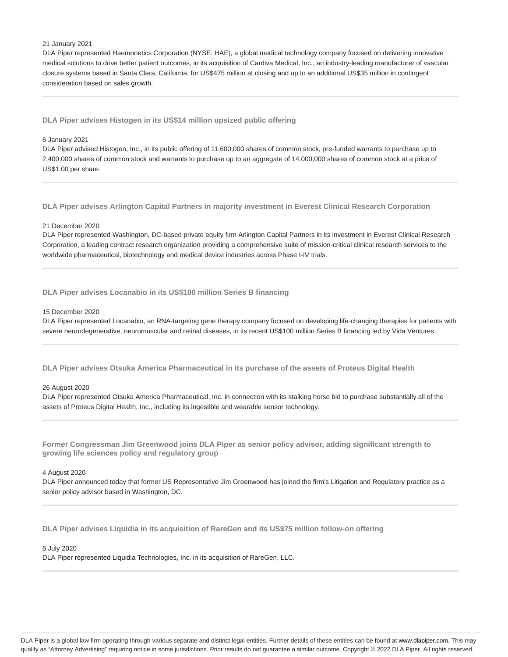### 21 January 2021

DLA Piper represented Haemonetics Corporation (NYSE: HAE), a global medical technology company focused on delivering innovative medical solutions to drive better patient outcomes, in its acquisition of Cardiva Medical, Inc., an industry-leading manufacturer of vascular closure systems based in Santa Clara, California, for US\$475 million at closing and up to an additional US\$35 million in contingent consideration based on sales growth.

**DLA Piper advises Histogen in its US\$14 million upsized public offering**

### 6 January 2021

DLA Piper advised Histogen, Inc., in its public offering of 11,600,000 shares of common stock, pre-funded warrants to purchase up to 2,400,000 shares of common stock and warrants to purchase up to an aggregate of 14,000,000 shares of common stock at a price of US\$1.00 per share.

**DLA Piper advises Arlington Capital Partners in majority investment in Everest Clinical Research Corporation**

### 21 December 2020

DLA Piper represented Washington, DC-based private equity firm Arlington Capital Partners in its investment in Everest Clinical Research Corporation, a leading contract research organization providing a comprehensive suite of mission-critical clinical research services to the worldwide pharmaceutical, biotechnology and medical device industries across Phase I-IV trials.

**DLA Piper advises Locanabio in its US\$100 million Series B financing**

#### 15 December 2020

DLA Piper represented Locanabio, an RNA-targeting gene therapy company focused on developing life-changing therapies for patients with severe neurodegenerative, neuromuscular and retinal diseases, in its recent US\$100 million Series B financing led by Vida Ventures.

**DLA Piper advises Otsuka America Pharmaceutical in its purchase of the assets of Proteus Digital Health**

# 26 August 2020

DLA Piper represented Otsuka America Pharmaceutical, Inc. in connection with its stalking horse bid to purchase substantially all of the assets of Proteus Digital Health, Inc., including its ingestible and wearable sensor technology.

**Former Congressman Jim Greenwood joins DLA Piper as senior policy advisor, adding significant strength to growing life sciences policy and regulatory group**

### 4 August 2020

DLA Piper announced today that former US Representative Jim Greenwood has joined the firm's Litigation and Regulatory practice as a senior policy advisor based in Washington, DC.

**DLA Piper advises Liquidia in its acquisition of RareGen and its US\$75 million follow-on offering**

# 6 July 2020

DLA Piper represented Liquidia Technologies, Inc. in its acquisition of RareGen, LLC.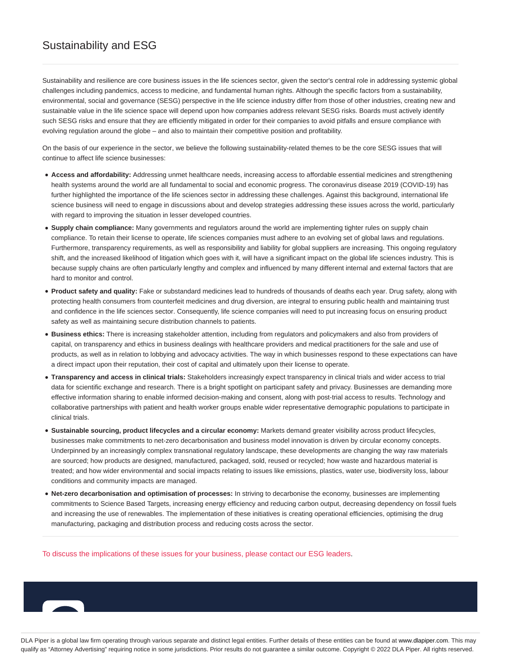# Sustainability and ESG

Sustainability and resilience are core business issues in the life sciences sector, given the sector's central role in addressing systemic global challenges including pandemics, access to medicine, and fundamental human rights. Although the specific factors from a sustainability, environmental, social and governance (SESG) perspective in the life science industry differ from those of other industries, creating new and sustainable value in the life science space will depend upon how companies address relevant SESG risks. Boards must actively identify such SESG risks and ensure that they are efficiently mitigated in order for their companies to avoid pitfalls and ensure compliance with evolving regulation around the globe – and also to maintain their competitive position and profitability.

On the basis of our experience in the sector, we believe the following sustainability-related themes to be the core SESG issues that will continue to affect life science businesses:

- **Access and affordability:** Addressing unmet healthcare needs, increasing access to affordable essential medicines and strengthening health systems around the world are all fundamental to social and economic progress. The coronavirus disease 2019 (COVID-19) has further highlighted the importance of the life sciences sector in addressing these challenges. Against this background, international life science business will need to engage in discussions about and develop strategies addressing these issues across the world, particularly with regard to improving the situation in lesser developed countries.
- **Supply chain compliance:** Many governments and regulators around the world are implementing tighter rules on supply chain compliance. To retain their license to operate, life sciences companies must adhere to an evolving set of global laws and regulations. Furthermore, transparency requirements, as well as responsibility and liability for global suppliers are increasing. This ongoing regulatory shift, and the increased likelihood of litigation which goes with it, will have a significant impact on the global life sciences industry. This is because supply chains are often particularly lengthy and complex and influenced by many different internal and external factors that are hard to monitor and control.
- **Product safety and quality:** Fake or substandard medicines lead to hundreds of thousands of deaths each year. Drug safety, along with protecting health consumers from counterfeit medicines and drug diversion, are integral to ensuring public health and maintaining trust and confidence in the life sciences sector. Consequently, life science companies will need to put increasing focus on ensuring product safety as well as maintaining secure distribution channels to patients.
- **Business ethics:** There is increasing stakeholder attention, including from regulators and policymakers and also from providers of capital, on transparency and ethics in business dealings with healthcare providers and medical practitioners for the sale and use of products, as well as in relation to lobbying and advocacy activities. The way in which businesses respond to these expectations can have a direct impact upon their reputation, their cost of capital and ultimately upon their license to operate.
- **Transparency and access in clinical trials:** Stakeholders increasingly expect transparency in clinical trials and wider access to trial data for scientific exchange and research. There is a bright spotlight on participant safety and privacy. Businesses are demanding more effective information sharing to enable informed decision-making and consent, along with post-trial access to results. Technology and collaborative partnerships with patient and health worker groups enable wider representative demographic populations to participate in clinical trials.
- **Sustainable sourcing, product lifecycles and a circular economy:** Markets demand greater visibility across product lifecycles, businesses make commitments to net-zero decarbonisation and business model innovation is driven by circular economy concepts. Underpinned by an increasingly complex transnational regulatory landscape, these developments are changing the way raw materials are sourced; how products are designed, manufactured, packaged, sold, reused or recycled; how waste and hazardous material is treated; and how wider environmental and social impacts relating to issues like emissions, plastics, water use, biodiversity loss, labour conditions and community impacts are managed.
- **Net-zero decarbonisation and optimisation of processes:** In striving to decarbonise the economy, businesses are implementing commitments to Science Based Targets, increasing energy efficiency and reducing carbon output, decreasing dependency on fossil fuels and increasing the use of renewables. The implementation of these initiatives is creating operational efficiencies, optimising the drug manufacturing, packaging and distribution process and reducing costs across the sector.

To discuss the implications of these issues for your business, please contact our ESG leaders.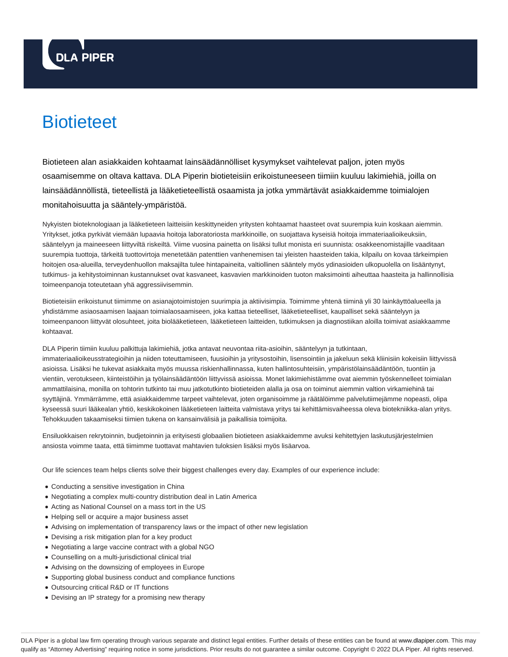

# **Biotieteet**

Biotieteen alan asiakkaiden kohtaamat lainsäädännölliset kysymykset vaihtelevat paljon, joten myös osaamisemme on oltava kattava. DLA Piperin biotieteisiin erikoistuneeseen tiimiin kuuluu lakimiehiä, joilla on lainsäädännöllistä, tieteellistä ja lääketieteellistä osaamista ja jotka ymmärtävät asiakkaidemme toimialojen monitahoisuutta ja sääntely-ympäristöä.

Nykyisten bioteknologiaan ja lääketieteen laitteisiin keskittyneiden yritysten kohtaamat haasteet ovat suurempia kuin koskaan aiemmin. Yritykset, jotka pyrkivät viemään lupaavia hoitoja laboratoriosta markkinoille, on suojattava kyseisiä hoitoja immateriaalioikeuksiin, sääntelyyn ja maineeseen liittyviltä riskeiltä. Viime vuosina painetta on lisäksi tullut monista eri suunnista: osakkeenomistajille vaaditaan suurempia tuottoja, tärkeitä tuottovirtoja menetetään patenttien vanhenemisen tai yleisten haasteiden takia, kilpailu on kovaa tärkeimpien hoitojen osa-alueilla, terveydenhuollon maksajilta tulee hintapaineita, valtiollinen sääntely myös ydinasioiden ulkopuolella on lisääntynyt, tutkimus- ja kehitystoiminnan kustannukset ovat kasvaneet, kasvavien markkinoiden tuoton maksimointi aiheuttaa haasteita ja hallinnollisia toimeenpanoja toteutetaan yhä aggressiivisemmin.

Biotieteisiin erikoistunut tiimimme on asianajotoimistojen suurimpia ja aktiivisimpia. Toimimme yhtenä tiiminä yli 30 lainkäyttöalueella ja yhdistämme asiaosaamisen laajaan toimialaosaamiseen, joka kattaa tieteelliset, lääketieteelliset, kaupalliset sekä sääntelyyn ja toimeenpanoon liittyvät olosuhteet, joita biolääketieteen, lääketieteen laitteiden, tutkimuksen ja diagnostiikan aloilla toimivat asiakkaamme kohtaavat.

DLA Piperin tiimiin kuuluu palkittuja lakimiehiä, jotka antavat neuvontaa riita-asioihin, sääntelyyn ja tutkintaan, immateriaalioikeusstrategioihin ja niiden toteuttamiseen, fuusioihin ja yritysostoihin, lisensointiin ja jakeluun sekä kliinisiin kokeisiin liittyvissä asioissa. Lisäksi he tukevat asiakkaita myös muussa riskienhallinnassa, kuten hallintosuhteisiin, ympäristölainsäädäntöön, tuontiin ja vientiin, verotukseen, kiinteistöihin ja työlainsäädäntöön liittyvissä asioissa. Monet lakimiehistämme ovat aiemmin työskennelleet toimialan ammattilaisina, monilla on tohtorin tutkinto tai muu jatkotutkinto biotieteiden alalla ja osa on toiminut aiemmin valtion virkamiehinä tai syyttäjinä. Ymmärrämme, että asiakkaidemme tarpeet vaihtelevat, joten organisoimme ja räätälöimme palvelutiimejämme nopeasti, olipa kyseessä suuri lääkealan yhtiö, keskikokoinen lääketieteen laitteita valmistava yritys tai kehittämisvaiheessa oleva biotekniikka-alan yritys. Tehokkuuden takaamiseksi tiimien tukena on kansainvälisiä ja paikallisia toimijoita.

Ensiluokkaisen rekrytoinnin, budjetoinnin ja erityisesti globaalien biotieteen asiakkaidemme avuksi kehitettyjen laskutusjärjestelmien ansiosta voimme taata, että tiimimme tuottavat mahtavien tuloksien lisäksi myös lisäarvoa.

Our life sciences team helps clients solve their biggest challenges every day. Examples of our experience include:

- Conducting a sensitive investigation in China
- Negotiating a complex multi-country distribution deal in Latin America
- Acting as National Counsel on a mass tort in the US
- Helping sell or acquire a major business asset
- Advising on implementation of transparency laws or the impact of other new legislation
- Devising a risk mitigation plan for a key product
- Negotiating a large vaccine contract with a global NGO
- Counselling on a multi-jurisdictional clinical trial
- Advising on the downsizing of employees in Europe
- Supporting global business conduct and compliance functions
- Outsourcing critical R&D or IT functions
- Devising an IP strategy for a promising new therapy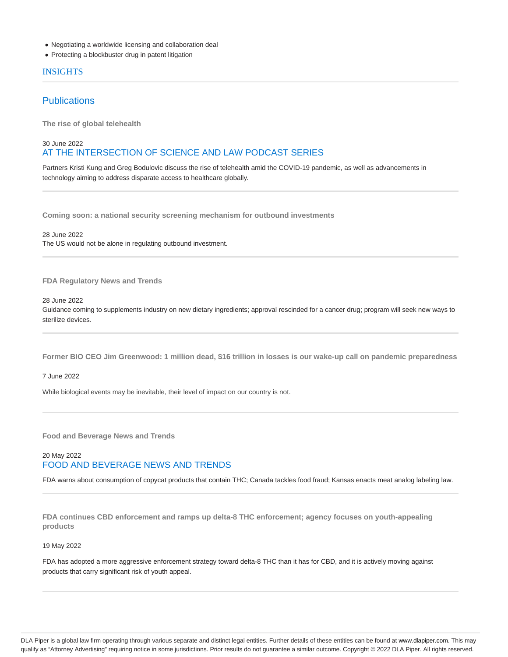- Negotiating a worldwide licensing and collaboration deal
- Protecting a blockbuster drug in patent litigation

# INSIGHTS

# **Publications**

**The rise of global telehealth**

# 30 June 2022 AT THE INTERSECTION OF SCIENCE AND LAW PODCAST SERIES

Partners Kristi Kung and Greg Bodulovic discuss the rise of telehealth amid the COVID-19 pandemic, as well as advancements in technology aiming to address disparate access to healthcare globally.

**Coming soon: a national security screening mechanism for outbound investments**

28 June 2022 The US would not be alone in regulating outbound investment.

**FDA Regulatory News and Trends**

28 June 2022

Guidance coming to supplements industry on new dietary ingredients; approval rescinded for a cancer drug; program will seek new ways to sterilize devices.

**Former BIO CEO Jim Greenwood: 1 million dead, \$16 trillion in losses is our wake-up call on pandemic preparedness**

7 June 2022

While biological events may be inevitable, their level of impact on our country is not.

**Food and Beverage News and Trends**

# 20 May 2022 FOOD AND BEVERAGE NEWS AND TRENDS

FDA warns about consumption of copycat products that contain THC; Canada tackles food fraud; Kansas enacts meat analog labeling law.

**FDA continues CBD enforcement and ramps up delta-8 THC enforcement; agency focuses on youth-appealing products**

### 19 May 2022

FDA has adopted a more aggressive enforcement strategy toward delta-8 THC than it has for CBD, and it is actively moving against products that carry significant risk of youth appeal.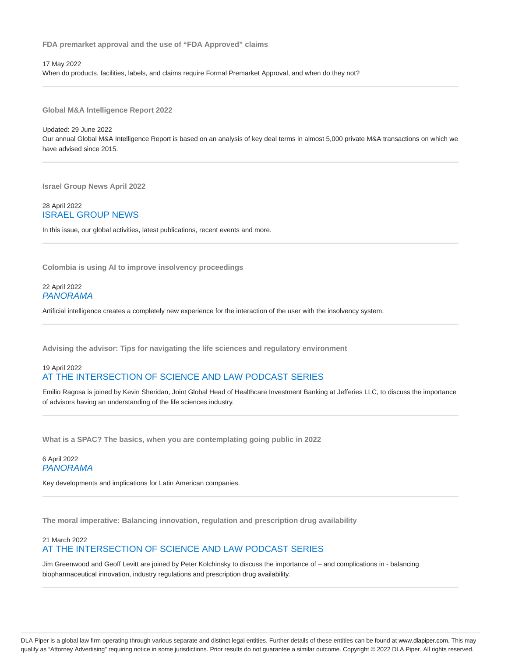**FDA premarket approval and the use of "FDA Approved" claims**

17 May 2022 When do products, facilities, labels, and claims require Formal Premarket Approval, and when do they not?

**Global M&A Intelligence Report 2022**

Updated: 29 June 2022 Our annual Global M&A Intelligence Report is based on an analysis of key deal terms in almost 5,000 private M&A transactions on which we have advised since 2015.

**Israel Group News April 2022**

28 April 2022 ISRAEL GROUP NEWS

In this issue, our global activities, latest publications, recent events and more.

**Colombia is using AI to improve insolvency proceedings**

22 April 2022 PANORAMA

Artificial intelligence creates a completely new experience for the interaction of the user with the insolvency system.

**Advising the advisor: Tips for navigating the life sciences and regulatory environment**

# 19 April 2022 AT THE INTERSECTION OF SCIENCE AND LAW PODCAST SERIES

Emilio Ragosa is joined by Kevin Sheridan, Joint Global Head of Healthcare Investment Banking at Jefferies LLC, to discuss the importance of advisors having an understanding of the life sciences industry.

**What is a SPAC? The basics, when you are contemplating going public in 2022**

6 April 2022 PANORAMA

Key developments and implications for Latin American companies.

**The moral imperative: Balancing innovation, regulation and prescription drug availability**

# 21 March 2022 AT THE INTERSECTION OF SCIENCE AND LAW PODCAST SERIES

Jim Greenwood and Geoff Levitt are joined by Peter Kolchinsky to discuss the importance of – and complications in - balancing biopharmaceutical innovation, industry regulations and prescription drug availability.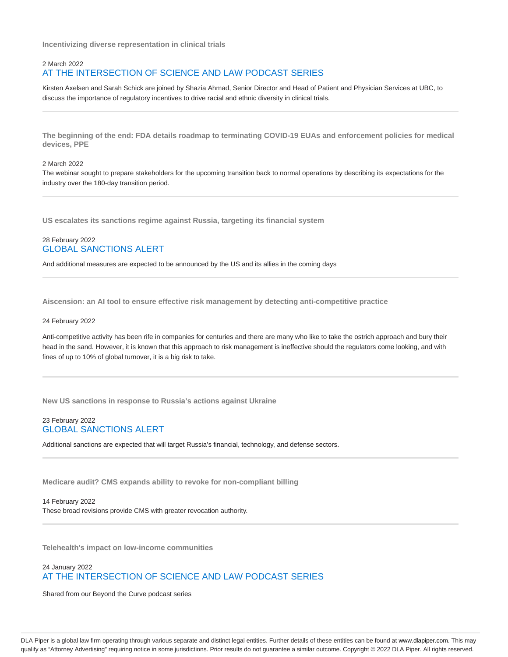**Incentivizing diverse representation in clinical trials**

# 2 March 2022 AT THE INTERSECTION OF SCIENCE AND LAW PODCAST SERIES

Kirsten Axelsen and Sarah Schick are joined by Shazia Ahmad, Senior Director and Head of Patient and Physician Services at UBC, to discuss the importance of regulatory incentives to drive racial and ethnic diversity in clinical trials.

**The beginning of the end: FDA details roadmap to terminating COVID-19 EUAs and enforcement policies for medical devices, PPE**

### 2 March 2022

The webinar sought to prepare stakeholders for the upcoming transition back to normal operations by describing its expectations for the industry over the 180-day transition period.

**US escalates its sanctions regime against Russia, targeting its financial system**

# 28 February 2022 GLOBAL SANCTIONS ALERT

And additional measures are expected to be announced by the US and its allies in the coming days

**Aiscension: an AI tool to ensure effective risk management by detecting anti-competitive practice**

#### 24 February 2022

Anti-competitive activity has been rife in companies for centuries and there are many who like to take the ostrich approach and bury their head in the sand. However, it is known that this approach to risk management is ineffective should the regulators come looking, and with fines of up to 10% of global turnover, it is a big risk to take.

**New US sanctions in response to Russia's actions against Ukraine**

# 23 February 2022 GLOBAL SANCTIONS ALERT

Additional sanctions are expected that will target Russia's financial, technology, and defense sectors.

**Medicare audit? CMS expands ability to revoke for non-compliant billing**

14 February 2022 These broad revisions provide CMS with greater revocation authority.

**Telehealth's impact on low-income communities**

# 24 January 2022 AT THE INTERSECTION OF SCIENCE AND LAW PODCAST SERIES

Shared from our Beyond the Curve podcast series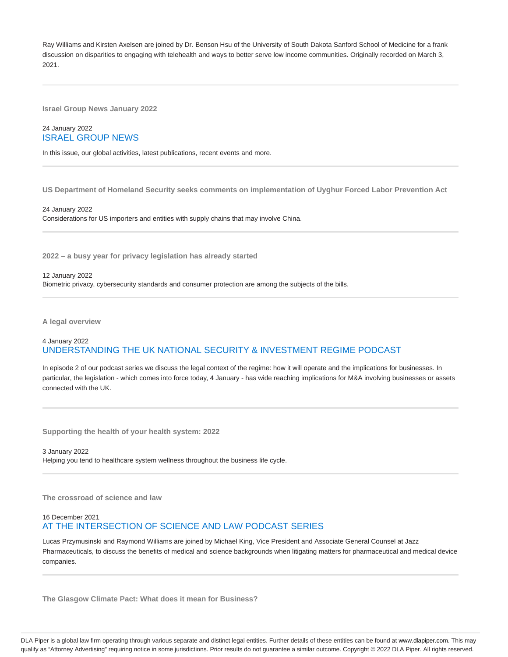Ray Williams and Kirsten Axelsen are joined by Dr. Benson Hsu of the University of South Dakota Sanford School of Medicine for a frank discussion on disparities to engaging with telehealth and ways to better serve low income communities. Originally recorded on March 3, 2021.

**Israel Group News January 2022**

# 24 January 2022 ISRAEL GROUP NEWS

In this issue, our global activities, latest publications, recent events and more.

**US Department of Homeland Security seeks comments on implementation of Uyghur Forced Labor Prevention Act**

24 January 2022 Considerations for US importers and entities with supply chains that may involve China.

**2022 – a busy year for privacy legislation has already started**

12 January 2022

Biometric privacy, cybersecurity standards and consumer protection are among the subjects of the bills.

**A legal overview**

# 4 January 2022 UNDERSTANDING THE UK NATIONAL SECURITY & INVESTMENT REGIME PODCAST

In episode 2 of our podcast series we discuss the legal context of the regime: how it will operate and the implications for businesses. In particular, the legislation - which comes into force today, 4 January - has wide reaching implications for M&A involving businesses or assets connected with the UK.

**Supporting the health of your health system: 2022**

3 January 2022

Helping you tend to healthcare system wellness throughout the business life cycle.

**The crossroad of science and law**

# 16 December 2021 AT THE INTERSECTION OF SCIENCE AND LAW PODCAST SERIES

Lucas Przymusinski and Raymond Williams are joined by Michael King, Vice President and Associate General Counsel at Jazz Pharmaceuticals, to discuss the benefits of medical and science backgrounds when litigating matters for pharmaceutical and medical device companies.

**The Glasgow Climate Pact: What does it mean for Business?**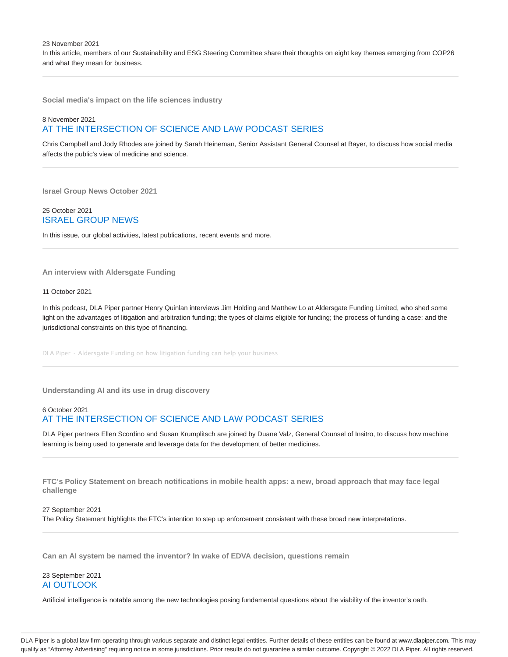23 November 2021

In this article, members of our Sustainability and ESG Steering Committee share their thoughts on eight key themes emerging from COP26 and what they mean for business.

**Social media's impact on the life sciences industry**

# 8 November 2021 AT THE INTERSECTION OF SCIENCE AND LAW PODCAST SERIES

Chris Campbell and Jody Rhodes are joined by Sarah Heineman, Senior Assistant General Counsel at Bayer, to discuss how social media affects the public's view of medicine and science.

**Israel Group News October 2021**

25 October 2021 ISRAEL GROUP NEWS

In this issue, our global activities, latest publications, recent events and more.

**An interview with Aldersgate Funding**

11 October 2021

In this podcast, DLA Piper partner Henry Quinlan interviews Jim Holding and Matthew Lo at Aldersgate Funding Limited, who shed some light on the advantages of litigation and arbitration funding; the types of claims eligible for funding; the process of funding a case; and the jurisdictional constraints on this type of financing.

DLA Piper · Aldersgate Funding on how litigation funding can help your business

**Understanding AI and its use in drug discovery**

# 6 October 2021 AT THE INTERSECTION OF SCIENCE AND LAW PODCAST SERIES

DLA Piper partners Ellen Scordino and Susan Krumplitsch are joined by Duane Valz, General Counsel of Insitro, to discuss how machine learning is being used to generate and leverage data for the development of better medicines.

**FTC's Policy Statement on breach notifications in mobile health apps: a new, broad approach that may face legal challenge**

# 27 September 2021 The Policy Statement highlights the FTC's intention to step up enforcement consistent with these broad new interpretations.

**Can an AI system be named the inventor? In wake of EDVA decision, questions remain**

# 23 September 2021 AI OUTLOOK

Artificial intelligence is notable among the new technologies posing fundamental questions about the viability of the inventor's oath.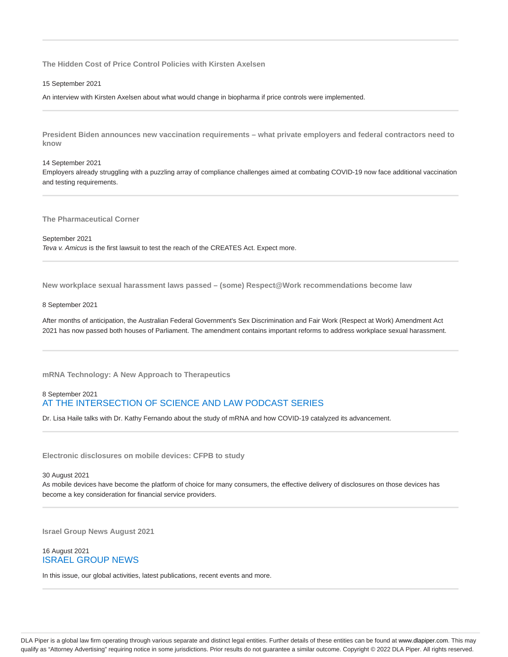**The Hidden Cost of Price Control Policies with Kirsten Axelsen**

15 September 2021

An interview with Kirsten Axelsen about what would change in biopharma if price controls were implemented.

**President Biden announces new vaccination requirements – what private employers and federal contractors need to know**

### 14 September 2021

Employers already struggling with a puzzling array of compliance challenges aimed at combating COVID-19 now face additional vaccination and testing requirements.

**The Pharmaceutical Corner**

September 2021 Teva v. Amicus is the first lawsuit to test the reach of the CREATES Act. Expect more.

**New workplace sexual harassment laws passed – (some) Respect@Work recommendations become law**

### 8 September 2021

After months of anticipation, the Australian Federal Government's Sex Discrimination and Fair Work (Respect at Work) Amendment Act 2021 has now passed both houses of Parliament. The amendment contains important reforms to address workplace sexual harassment.

**mRNA Technology: A New Approach to Therapeutics**

# 8 September 2021 AT THE INTERSECTION OF SCIENCE AND LAW PODCAST SERIES

Dr. Lisa Haile talks with Dr. Kathy Fernando about the study of mRNA and how COVID-19 catalyzed its advancement.

**Electronic disclosures on mobile devices: CFPB to study**

30 August 2021

As mobile devices have become the platform of choice for many consumers, the effective delivery of disclosures on those devices has become a key consideration for financial service providers.

**Israel Group News August 2021**

# 16 August 2021 ISRAEL GROUP NEWS

In this issue, our global activities, latest publications, recent events and more.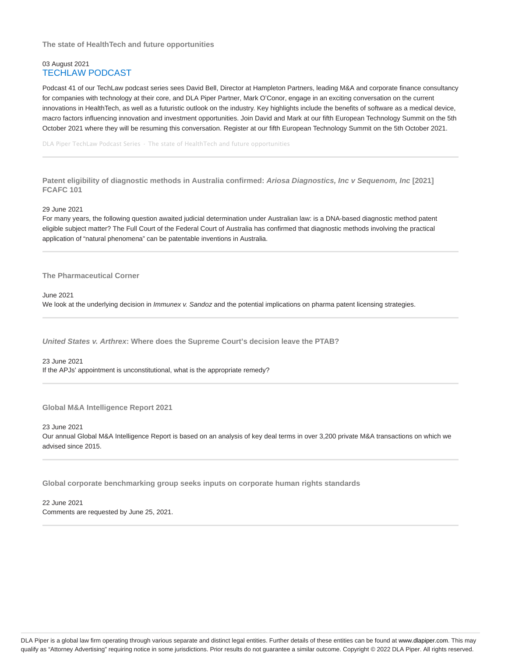**The state of HealthTech and future opportunities**

# 03 August 2021 TECHLAW PODCAST

Podcast 41 of our TechLaw podcast series sees David Bell, Director at Hampleton Partners, leading M&A and corporate finance consultancy for companies with technology at their core, and DLA Piper Partner, Mark O'Conor, engage in an exciting conversation on the current innovations in HealthTech, as well as a futuristic outlook on the industry. Key highlights include the benefits of software as a medical device, macro factors influencing innovation and investment opportunities. Join David and Mark at our fifth European Technology Summit on the 5th October 2021 where they will be resuming this conversation. Register at our fifth European Technology Summit on the 5th October 2021.

DLA Piper TechLaw Podcast Series · The state of HealthTech and future opportunities

**Patent eligibility of diagnostic methods in Australia confirmed: Ariosa Diagnostics, Inc v Sequenom, Inc [2021] FCAFC 101**

29 June 2021

For many years, the following question awaited judicial determination under Australian law: is a DNA-based diagnostic method patent eligible subject matter? The Full Court of the Federal Court of Australia has confirmed that diagnostic methods involving the practical application of "natural phenomena" can be patentable inventions in Australia.

**The Pharmaceutical Corner**

June 2021

We look at the underlying decision in *Immunex v. Sandoz* and the potential implications on pharma patent licensing strategies.

**United States v. Arthrex: Where does the Supreme Court's decision leave the PTAB?**

23 June 2021 If the APJs' appointment is unconstitutional, what is the appropriate remedy?

**Global M&A Intelligence Report 2021**

23 June 2021 Our annual Global M&A Intelligence Report is based on an analysis of key deal terms in over 3,200 private M&A transactions on which we advised since 2015.

**Global corporate benchmarking group seeks inputs on corporate human rights standards**

22 June 2021 Comments are requested by June 25, 2021.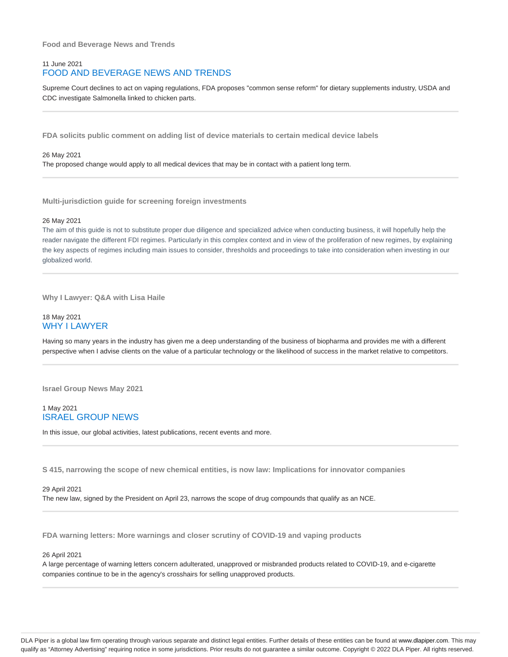**Food and Beverage News and Trends**

# 11 June 2021 FOOD AND BEVERAGE NEWS AND TRENDS

Supreme Court declines to act on vaping regulations, FDA proposes "common sense reform" for dietary supplements industry, USDA and CDC investigate Salmonella linked to chicken parts.

**FDA solicits public comment on adding list of device materials to certain medical device labels**

### 26 May 2021

The proposed change would apply to all medical devices that may be in contact with a patient long term.

**Multi-jurisdiction guide for screening foreign investments**

### 26 May 2021

The aim of this guide is not to substitute proper due diligence and specialized advice when conducting business, it will hopefully help the reader navigate the different FDI regimes. Particularly in this complex context and in view of the proliferation of new regimes, by explaining the key aspects of regimes including main issues to consider, thresholds and proceedings to take into consideration when investing in our globalized world.

# **Why I Lawyer: Q&A with Lisa Haile**

# 18 May 2021 WHY I LAWYER

Having so many years in the industry has given me a deep understanding of the business of biopharma and provides me with a different perspective when I advise clients on the value of a particular technology or the likelihood of success in the market relative to competitors.

**Israel Group News May 2021**

# 1 May 2021 ISRAEL GROUP NEWS

In this issue, our global activities, latest publications, recent events and more.

**S 415, narrowing the scope of new chemical entities, is now law: Implications for innovator companies**

# 29 April 2021

The new law, signed by the President on April 23, narrows the scope of drug compounds that qualify as an NCE.

**FDA warning letters: More warnings and closer scrutiny of COVID-19 and vaping products**

### 26 April 2021

A large percentage of warning letters concern adulterated, unapproved or misbranded products related to COVID-19, and e-cigarette companies continue to be in the agency's crosshairs for selling unapproved products.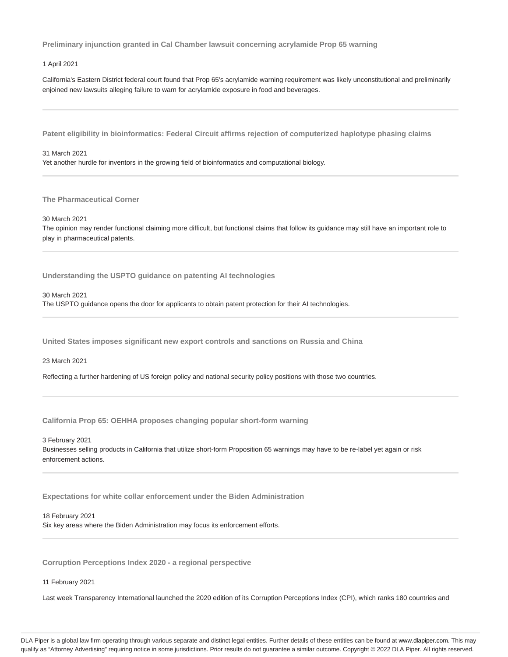**Preliminary injunction granted in Cal Chamber lawsuit concerning acrylamide Prop 65 warning**

1 April 2021

California's Eastern District federal court found that Prop 65's acrylamide warning requirement was likely unconstitutional and preliminarily enjoined new lawsuits alleging failure to warn for acrylamide exposure in food and beverages.

**Patent eligibility in bioinformatics: Federal Circuit affirms rejection of computerized haplotype phasing claims**

31 March 2021 Yet another hurdle for inventors in the growing field of bioinformatics and computational biology.

**The Pharmaceutical Corner**

30 March 2021

The opinion may render functional claiming more difficult, but functional claims that follow its guidance may still have an important role to play in pharmaceutical patents.

**Understanding the USPTO guidance on patenting AI technologies**

30 March 2021

The USPTO guidance opens the door for applicants to obtain patent protection for their AI technologies.

**United States imposes significant new export controls and sanctions on Russia and China**

23 March 2021

Reflecting a further hardening of US foreign policy and national security policy positions with those two countries.

**California Prop 65: OEHHA proposes changing popular short-form warning**

3 February 2021

Businesses selling products in California that utilize short-form Proposition 65 warnings may have to be re-label yet again or risk enforcement actions.

**Expectations for white collar enforcement under the Biden Administration**

18 February 2021 Six key areas where the Biden Administration may focus its enforcement efforts.

**Corruption Perceptions Index 2020 - a regional perspective**

11 February 2021

Last week Transparency International launched the 2020 edition of its Corruption Perceptions Index (CPI), which ranks 180 countries and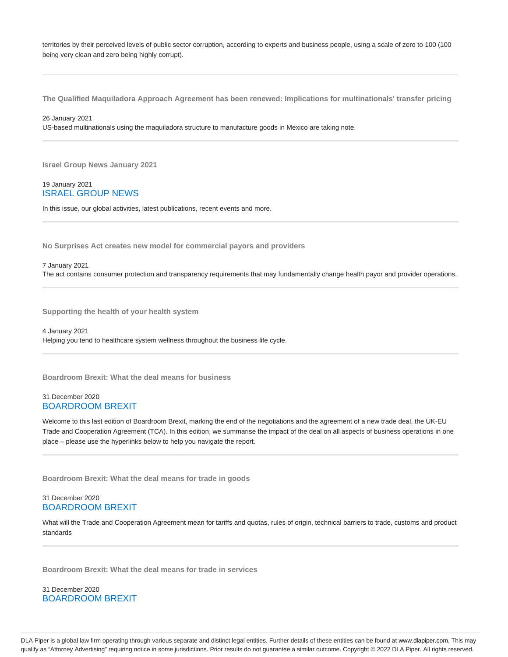territories by their perceived levels of public sector corruption, according to experts and business people, using a scale of zero to 100 (100 being very clean and zero being highly corrupt).

**The Qualified Maquiladora Approach Agreement has been renewed: Implications for multinationals' transfer pricing**

26 January 2021 US-based multinationals using the maquiladora structure to manufacture goods in Mexico are taking note.

**Israel Group News January 2021**

# 19 January 2021 ISRAEL GROUP NEWS

In this issue, our global activities, latest publications, recent events and more.

**No Surprises Act creates new model for commercial payors and providers**

# 7 January 2021 The act contains consumer protection and transparency requirements that may fundamentally change health payor and provider operations.

**Supporting the health of your health system**

4 January 2021 Helping you tend to healthcare system wellness throughout the business life cycle.

**Boardroom Brexit: What the deal means for business**

# 31 December 2020 BOARDROOM BREXIT

Welcome to this last edition of Boardroom Brexit, marking the end of the negotiations and the agreement of a new trade deal, the UK-EU Trade and Cooperation Agreement (TCA). In this edition, we summarise the impact of the deal on all aspects of business operations in one place – please use the hyperlinks below to help you navigate the report.

**Boardroom Brexit: What the deal means for trade in goods**

# 31 December 2020 BOARDROOM BREXIT

What will the Trade and Cooperation Agreement mean for tariffs and quotas, rules of origin, technical barriers to trade, customs and product standards

**Boardroom Brexit: What the deal means for trade in services**

31 December 2020 BOARDROOM BREXIT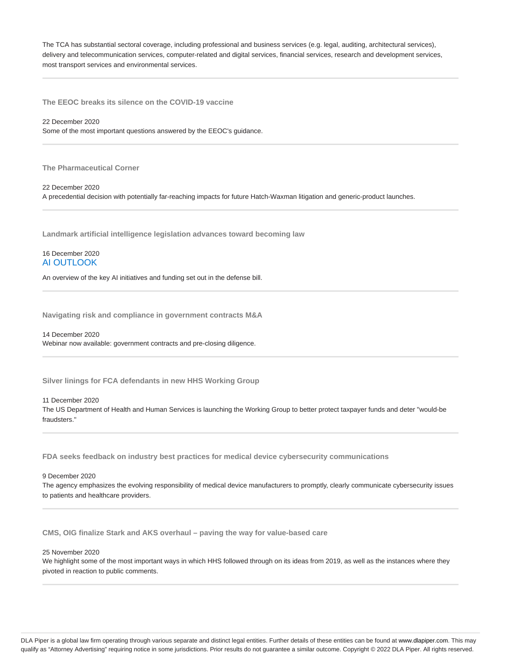The TCA has substantial sectoral coverage, including professional and business services (e.g. legal, auditing, architectural services), delivery and telecommunication services, computer-related and digital services, financial services, research and development services, most transport services and environmental services.

**The EEOC breaks its silence on the COVID-19 vaccine**

22 December 2020 Some of the most important questions answered by the EEOC's guidance.

**The Pharmaceutical Corner**

22 December 2020 A precedential decision with potentially far-reaching impacts for future Hatch-Waxman litigation and generic-product launches.

**Landmark artificial intelligence legislation advances toward becoming law**

16 December 2020 AI OUTLOOK

An overview of the key AI initiatives and funding set out in the defense bill.

**Navigating risk and compliance in government contracts M&A**

14 December 2020 Webinar now available: government contracts and pre-closing diligence.

**Silver linings for FCA defendants in new HHS Working Group**

11 December 2020

The US Department of Health and Human Services is launching the Working Group to better protect taxpayer funds and deter "would-be fraudsters."

**FDA seeks feedback on industry best practices for medical device cybersecurity communications**

9 December 2020

The agency emphasizes the evolving responsibility of medical device manufacturers to promptly, clearly communicate cybersecurity issues to patients and healthcare providers.

**CMS, OIG finalize Stark and AKS overhaul – paving the way for value-based care**

25 November 2020

We highlight some of the most important ways in which HHS followed through on its ideas from 2019, as well as the instances where they pivoted in reaction to public comments.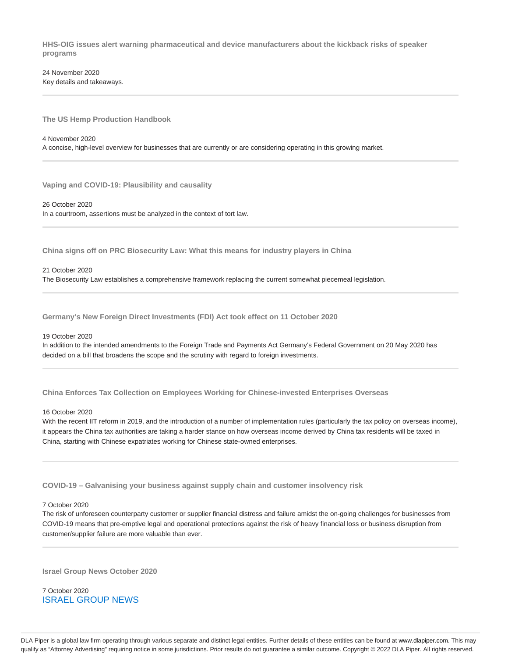**HHS-OIG issues alert warning pharmaceutical and device manufacturers about the kickback risks of speaker programs**

24 November 2020 Key details and takeaways.

**The US Hemp Production Handbook**

#### 4 November 2020

A concise, high-level overview for businesses that are currently or are considering operating in this growing market.

**Vaping and COVID-19: Plausibility and causality**

26 October 2020

In a courtroom, assertions must be analyzed in the context of tort law.

**China signs off on PRC Biosecurity Law: What this means for industry players in China**

### 21 October 2020

The Biosecurity Law establishes a comprehensive framework replacing the current somewhat piecemeal legislation.

**Germany's New Foreign Direct Investments (FDI) Act took effect on 11 October 2020**

# 19 October 2020

In addition to the intended amendments to the Foreign Trade and Payments Act Germany's Federal Government on 20 May 2020 has decided on a bill that broadens the scope and the scrutiny with regard to foreign investments.

**China Enforces Tax Collection on Employees Working for Chinese-invested Enterprises Overseas**

# 16 October 2020

With the recent IIT reform in 2019, and the introduction of a number of implementation rules (particularly the tax policy on overseas income), it appears the China tax authorities are taking a harder stance on how overseas income derived by China tax residents will be taxed in China, starting with Chinese expatriates working for Chinese state-owned enterprises.

**COVID-19 – Galvanising your business against supply chain and customer insolvency risk**

### 7 October 2020

The risk of unforeseen counterparty customer or supplier financial distress and failure amidst the on-going challenges for businesses from COVID-19 means that pre-emptive legal and operational protections against the risk of heavy financial loss or business disruption from customer/supplier failure are more valuable than ever.

**Israel Group News October 2020**

7 October 2020 ISRAEL GROUP NEWS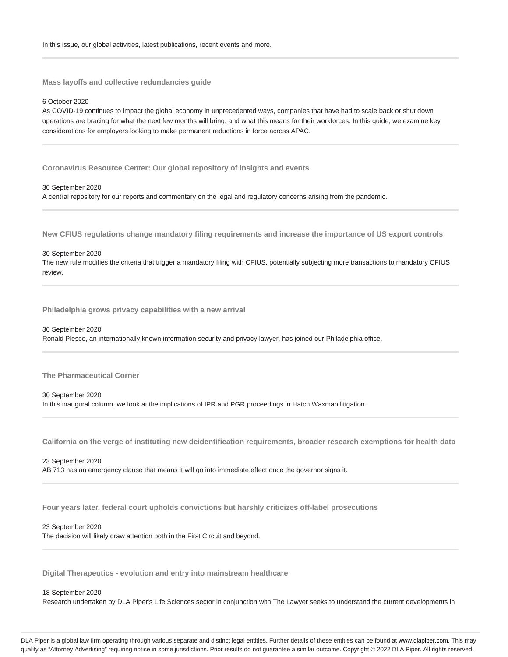**Mass layoffs and collective redundancies guide**

# 6 October 2020

As COVID-19 continues to impact the global economy in unprecedented ways, companies that have had to scale back or shut down operations are bracing for what the next few months will bring, and what this means for their workforces. In this guide, we examine key considerations for employers looking to make permanent reductions in force across APAC.

**Coronavirus Resource Center: Our global repository of insights and events**

30 September 2020 A central repository for our reports and commentary on the legal and regulatory concerns arising from the pandemic.

**New CFIUS regulations change mandatory filing requirements and increase the importance of US export controls**

#### 30 September 2020

The new rule modifies the criteria that trigger a mandatory filing with CFIUS, potentially subjecting more transactions to mandatory CFIUS review.

**Philadelphia grows privacy capabilities with a new arrival**

# 30 September 2020 Ronald Plesco, an internationally known information security and privacy lawyer, has joined our Philadelphia office.

**The Pharmaceutical Corner**

30 September 2020 In this inaugural column, we look at the implications of IPR and PGR proceedings in Hatch Waxman litigation.

**California on the verge of instituting new deidentification requirements, broader research exemptions for health data**

### 23 September 2020 AB 713 has an emergency clause that means it will go into immediate effect once the governor signs it.

**Four years later, federal court upholds convictions but harshly criticizes off-label prosecutions**

### 23 September 2020

The decision will likely draw attention both in the First Circuit and beyond.

**Digital Therapeutics - evolution and entry into mainstream healthcare**

### 18 September 2020

Research undertaken by DLA Piper's Life Sciences sector in conjunction with The Lawyer seeks to understand the current developments in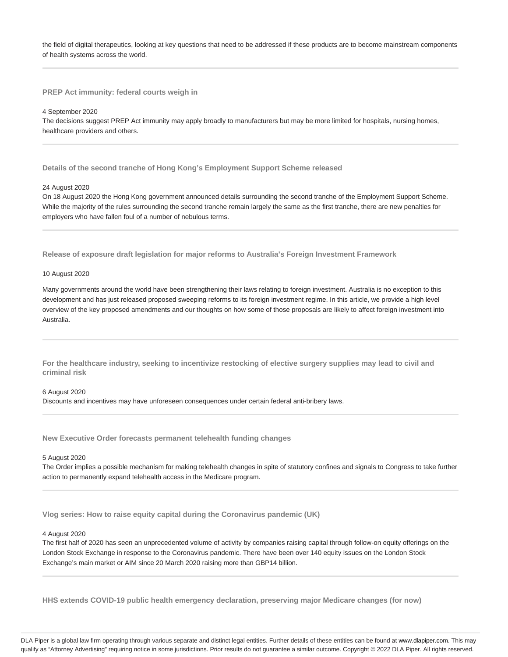the field of digital therapeutics, looking at key questions that need to be addressed if these products are to become mainstream components of health systems across the world.

**PREP Act immunity: federal courts weigh in**

#### 4 September 2020

The decisions suggest PREP Act immunity may apply broadly to manufacturers but may be more limited for hospitals, nursing homes, healthcare providers and others.

**Details of the second tranche of Hong Kong's Employment Support Scheme released**

# 24 August 2020

On 18 August 2020 the Hong Kong government announced details surrounding the second tranche of the Employment Support Scheme. While the majority of the rules surrounding the second tranche remain largely the same as the first tranche, there are new penalties for employers who have fallen foul of a number of nebulous terms.

**Release of exposure draft legislation for major reforms to Australia's Foreign Investment Framework**

### 10 August 2020

Many governments around the world have been strengthening their laws relating to foreign investment. Australia is no exception to this development and has just released proposed sweeping reforms to its foreign investment regime. In this article, we provide a high level overview of the key proposed amendments and our thoughts on how some of those proposals are likely to affect foreign investment into Australia.

**For the healthcare industry, seeking to incentivize restocking of elective surgery supplies may lead to civil and criminal risk**

6 August 2020

Discounts and incentives may have unforeseen consequences under certain federal anti-bribery laws.

**New Executive Order forecasts permanent telehealth funding changes**

### 5 August 2020

The Order implies a possible mechanism for making telehealth changes in spite of statutory confines and signals to Congress to take further action to permanently expand telehealth access in the Medicare program.

**Vlog series: How to raise equity capital during the Coronavirus pandemic (UK)**

#### 4 August 2020

The first half of 2020 has seen an unprecedented volume of activity by companies raising capital through follow-on equity offerings on the London Stock Exchange in response to the Coronavirus pandemic. There have been over 140 equity issues on the London Stock Exchange's main market or AIM since 20 March 2020 raising more than GBP14 billion.

**HHS extends COVID-19 public health emergency declaration, preserving major Medicare changes (for now)**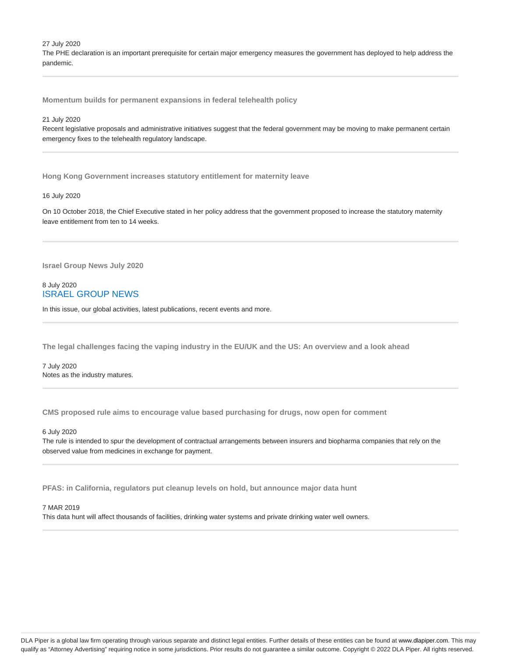27 July 2020

The PHE declaration is an important prerequisite for certain major emergency measures the government has deployed to help address the pandemic.

**Momentum builds for permanent expansions in federal telehealth policy**

# 21 July 2020

Recent legislative proposals and administrative initiatives suggest that the federal government may be moving to make permanent certain emergency fixes to the telehealth regulatory landscape.

**Hong Kong Government increases statutory entitlement for maternity leave**

# 16 July 2020

On 10 October 2018, the Chief Executive stated in her policy address that the government proposed to increase the statutory maternity leave entitlement from ten to 14 weeks.

**Israel Group News July 2020**

# 8 July 2020 ISRAEL GROUP NEWS

In this issue, our global activities, latest publications, recent events and more.

**The legal challenges facing the vaping industry in the EU/UK and the US: An overview and a look ahead**

7 July 2020 Notes as the industry matures.

**CMS proposed rule aims to encourage value based purchasing for drugs, now open for comment**

### 6 July 2020

The rule is intended to spur the development of contractual arrangements between insurers and biopharma companies that rely on the observed value from medicines in exchange for payment.

**PFAS: in California, regulators put cleanup levels on hold, but announce major data hunt**

#### 7 MAR 2019

This data hunt will affect thousands of facilities, drinking water systems and private drinking water well owners.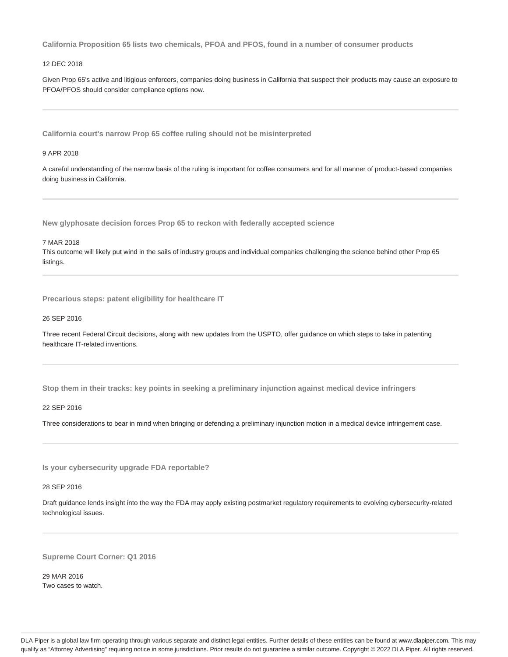**California Proposition 65 lists two chemicals, PFOA and PFOS, found in a number of consumer products**

# 12 DEC 2018

Given Prop 65's active and litigious enforcers, companies doing business in California that suspect their products may cause an exposure to PFOA/PFOS should consider compliance options now.

**California court's narrow Prop 65 coffee ruling should not be misinterpreted**

# 9 APR 2018

A careful understanding of the narrow basis of the ruling is important for coffee consumers and for all manner of product-based companies doing business in California.

**New glyphosate decision forces Prop 65 to reckon with federally accepted science**

7 MAR 2018

This outcome will likely put wind in the sails of industry groups and individual companies challenging the science behind other Prop 65 listings.

**Precarious steps: patent eligibility for healthcare IT**

### 26 SEP 2016

Three recent Federal Circuit decisions, along with new updates from the USPTO, offer guidance on which steps to take in patenting healthcare IT-related inventions.

**Stop them in their tracks: key points in seeking a preliminary injunction against medical device infringers**

## 22 SEP 2016

Three considerations to bear in mind when bringing or defending a preliminary injunction motion in a medical device infringement case.

**Is your cybersecurity upgrade FDA reportable?**

### 28 SEP 2016

Draft guidance lends insight into the way the FDA may apply existing postmarket regulatory requirements to evolving cybersecurity-related technological issues.

**Supreme Court Corner: Q1 2016**

29 MAR 2016 Two cases to watch.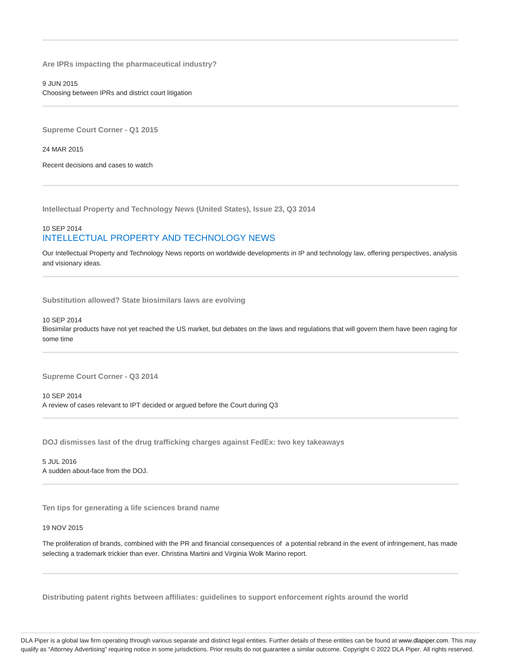**Are IPRs impacting the pharmaceutical industry?**

9 JUN 2015 Choosing between IPRs and district court litigation

**Supreme Court Corner - Q1 2015**

24 MAR 2015

Recent decisions and cases to watch

**Intellectual Property and Technology News (United States), Issue 23, Q3 2014**

# 10 SEP 2014 INTELLECTUAL PROPERTY AND TECHNOLOGY NEWS

Our Intellectual Property and Technology News reports on worldwide developments in IP and technology law, offering perspectives, analysis and visionary ideas.

**Substitution allowed? State biosimilars laws are evolving**

### 10 SEP 2014

Biosimilar products have not yet reached the US market, but debates on the laws and regulations that will govern them have been raging for some time

**Supreme Court Corner - Q3 2014**

10 SEP 2014 A review of cases relevant to IPT decided or argued before the Court during Q3

**DOJ dismisses last of the drug trafficking charges against FedEx: two key takeaways**

5 JUL 2016 A sudden about-face from the DOJ.

**Ten tips for generating a life sciences brand name**

### 19 NOV 2015

The proliferation of brands, combined with the PR and financial consequences of a potential rebrand in the event of infringement, has made selecting a trademark trickier than ever. Christina Martini and Virginia Wolk Marino report.

**Distributing patent rights between affiliates: guidelines to support enforcement rights around the world**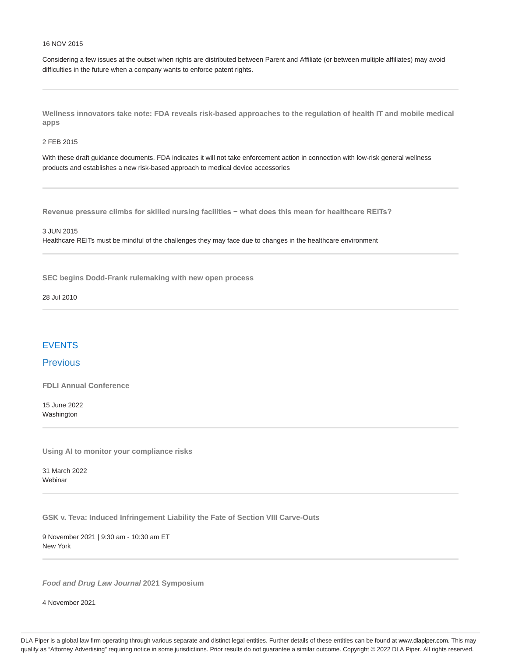### 16 NOV 2015

Considering a few issues at the outset when rights are distributed between Parent and Affiliate (or between multiple affiliates) may avoid difficulties in the future when a company wants to enforce patent rights.

**Wellness innovators take note: FDA reveals risk-based approaches to the regulation of health IT and mobile medical apps**

### 2 FEB 2015

With these draft guidance documents, FDA indicates it will not take enforcement action in connection with low-risk general wellness products and establishes a new risk-based approach to medical device accessories

**Revenue pressure climbs for skilled nursing facilities − what does this mean for healthcare REITs?**

3 JUN 2015

Healthcare REITs must be mindful of the challenges they may face due to changes in the healthcare environment

**SEC begins Dodd-Frank rulemaking with new open process**

28 Jul 2010

# EVENTS

# **Previous**

**FDLI Annual Conference**

15 June 2022 Washington

**Using AI to monitor your compliance risks**

31 March 2022 **Webinar** 

**GSK v. Teva: Induced Infringement Liability the Fate of Section VIII Carve-Outs**

9 November 2021 | 9:30 am - 10:30 am ET New York

**Food and Drug Law Journal 2021 Symposium**

4 November 2021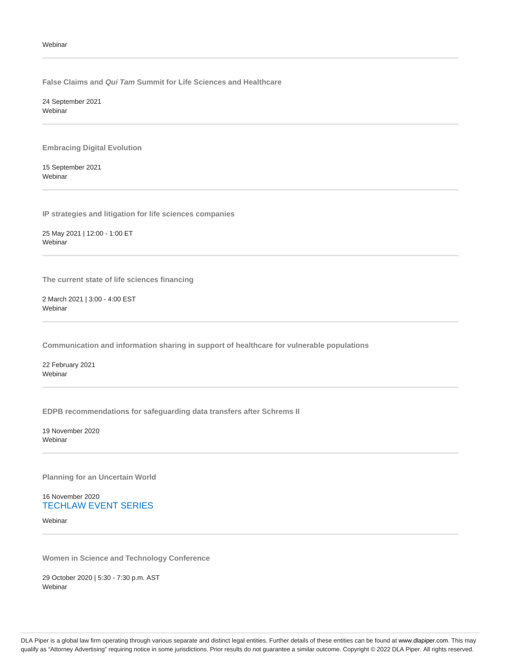**False Claims and Qui Tam Summit for Life Sciences and Healthcare**

24 September 2021 Webinar

**Embracing Digital Evolution**

15 September 2021 Webinar

**IP strategies and litigation for life sciences companies**

25 May 2021 | 12:00 - 1:00 ET Webinar

**The current state of life sciences financing**

2 March 2021 | 3:00 - 4:00 EST Webinar

**Communication and information sharing in support of healthcare for vulnerable populations**

22 February 2021 Webinar

**EDPB recommendations for safeguarding data transfers after Schrems II**

19 November 2020 **Webinar** 

**Planning for an Uncertain World**

16 November 2020 TECHLAW EVENT SERIES

Webinar

**Women in Science and Technology Conference**

29 October 2020 | 5:30 - 7:30 p.m. AST Webinar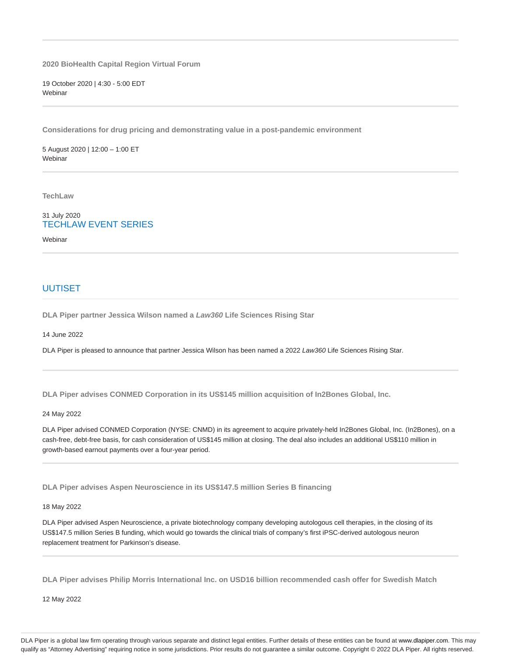**2020 BioHealth Capital Region Virtual Forum**

19 October 2020 | 4:30 - 5:00 EDT **Webinar** 

**Considerations for drug pricing and demonstrating value in a post-pandemic environment**

5 August 2020 | 12:00 – 1:00 ET **Webinar** 

**TechLaw**

# 31 July 2020 TECHLAW EVENT SERIES

Webinar

# UUTISET

**DLA Piper partner Jessica Wilson named a Law360 Life Sciences Rising Star**

14 June 2022

DLA Piper is pleased to announce that partner Jessica Wilson has been named a 2022 Law360 Life Sciences Rising Star.

**DLA Piper advises CONMED Corporation in its US\$145 million acquisition of In2Bones Global, Inc.**

24 May 2022

DLA Piper advised CONMED Corporation (NYSE: CNMD) in its agreement to acquire privately-held In2Bones Global, Inc. (In2Bones), on a cash-free, debt-free basis, for cash consideration of US\$145 million at closing. The deal also includes an additional US\$110 million in growth-based earnout payments over a four-year period.

**DLA Piper advises Aspen Neuroscience in its US\$147.5 million Series B financing**

18 May 2022

DLA Piper advised Aspen Neuroscience, a private biotechnology company developing autologous cell therapies, in the closing of its US\$147.5 million Series B funding, which would go towards the clinical trials of company's first iPSC-derived autologous neuron replacement treatment for Parkinson's disease.

**DLA Piper advises Philip Morris International Inc. on USD16 billion recommended cash offer for Swedish Match**

12 May 2022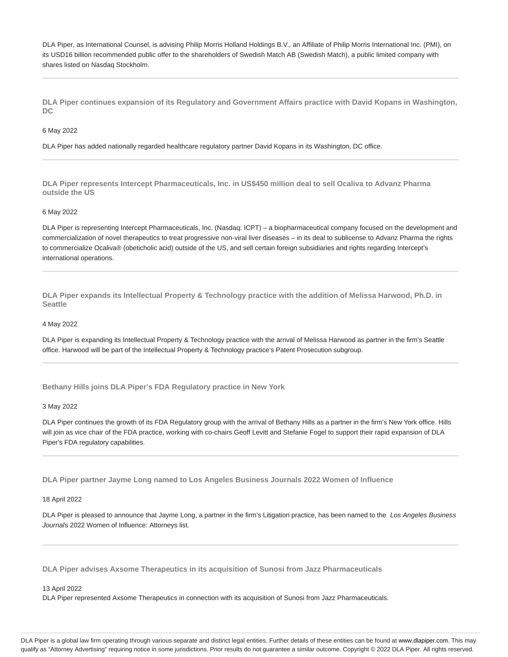DLA Piper, as International Counsel, is advising Philip Morris Holland Holdings B.V., an Affiliate of Philip Morris International Inc. (PMI), on its USD16 billion recommended public offer to the shareholders of Swedish Match AB (Swedish Match), a public limited company with shares listed on Nasdaq Stockholm.

**DLA Piper continues expansion of its Regulatory and Government Affairs practice with David Kopans in Washington, DC**

### 6 May 2022

DLA Piper has added nationally regarded healthcare regulatory partner David Kopans in its Washington, DC office.

**DLA Piper represents Intercept Pharmaceuticals, Inc. in US\$450 million deal to sell Ocaliva to Advanz Pharma outside the US**

### 6 May 2022

DLA Piper is representing Intercept Pharmaceuticals, Inc. (Nasdaq: ICPT) – a biopharmaceutical company focused on the development and commercialization of novel therapeutics to treat progressive non-viral liver diseases – in its deal to sublicense to Advanz Pharma the rights to commercialize Ocaliva® (obeticholic acid) outside of the US, and sell certain foreign subsidiaries and rights regarding Intercept's international operations.

**DLA Piper expands its Intellectual Property & Technology practice with the addition of Melissa Harwood, Ph.D. in Seattle**

### 4 May 2022

DLA Piper is expanding its Intellectual Property & Technology practice with the arrival of Melissa Harwood as partner in the firm's Seattle office. Harwood will be part of the Intellectual Property & Technology practice's Patent Prosecution subgroup.

**Bethany Hills joins DLA Piper's FDA Regulatory practice in New York**

### 3 May 2022

DLA Piper continues the growth of its FDA Regulatory group with the arrival of Bethany Hills as a partner in the firm's New York office. Hills will join as vice chair of the FDA practice, working with co-chairs Geoff Levitt and Stefanie Fogel to support their rapid expansion of DLA Piper's FDA regulatory capabilities.

**DLA Piper partner Jayme Long named to Los Angeles Business Journals 2022 Women of Influence**

#### 18 April 2022

DLA Piper is pleased to announce that Jayme Long, a partner in the firm's Litigation practice, has been named to the Los Angeles Business Journal's 2022 Women of Influence: Attorneys list.

**DLA Piper advises Axsome Therapeutics in its acquisition of Sunosi from Jazz Pharmaceuticals**

#### 13 April 2022

DLA Piper represented Axsome Therapeutics in connection with its acquisition of Sunosi from Jazz Pharmaceuticals.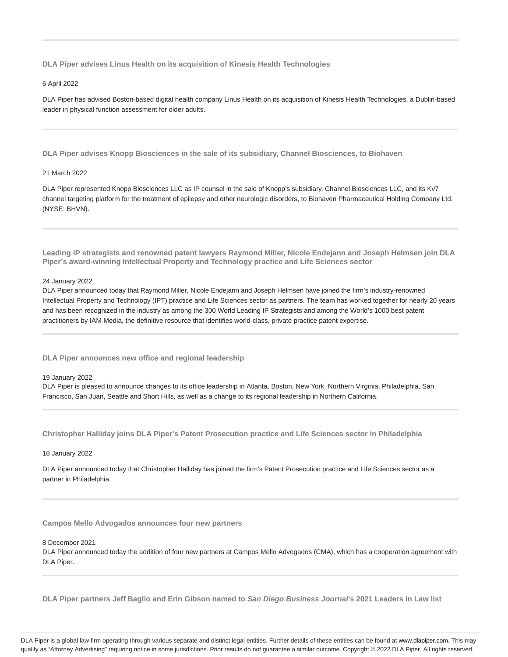**DLA Piper advises Linus Health on its acquisition of Kinesis Health Technologies**

### 6 April 2022

DLA Piper has advised Boston-based digital health company Linus Health on its acquisition of Kinesis Health Technologies, a Dublin-based leader in physical function assessment for older adults.

**DLA Piper advises Knopp Biosciences in the sale of its subsidiary, Channel Biosciences, to Biohaven**

### 21 March 2022

DLA Piper represented Knopp Biosciences LLC as IP counsel in the sale of Knopp's subsidiary, Channel Biosciences LLC, and its Kv7 channel targeting platform for the treatment of epilepsy and other neurologic disorders, to Biohaven Pharmaceutical Holding Company Ltd. (NYSE: BHVN).

**Leading IP strategists and renowned patent lawyers Raymond Miller, Nicole Endejann and Joseph Helmsen join DLA Piper's award-winning Intellectual Property and Technology practice and Life Sciences sector**

### 24 January 2022

DLA Piper announced today that Raymond Miller, Nicole Endejann and Joseph Helmsen have joined the firm's industry-renowned Intellectual Property and Technology (IPT) practice and Life Sciences sector as partners. The team has worked together for nearly 20 years and has been recognized in the industry as among the 300 World Leading IP Strategists and among the World's 1000 best patent practitioners by IAM Media, the definitive resource that identifies world-class, private practice patent expertise.

**DLA Piper announces new office and regional leadership**

### 19 January 2022

DLA Piper is pleased to announce changes to its office leadership in Atlanta, Boston, New York, Northern Virginia, Philadelphia, San Francisco, San Juan, Seattle and Short Hills, as well as a change to its regional leadership in Northern California.

**Christopher Halliday joins DLA Piper's Patent Prosecution practice and Life Sciences sector in Philadelphia**

### 18 January 2022

DLA Piper announced today that Christopher Halliday has joined the firm's Patent Prosecution practice and Life Sciences sector as a partner in Philadelphia.

**Campos Mello Advogados announces four new partners**

#### 8 December 2021

DLA Piper announced today the addition of four new partners at Campos Mello Advogados (CMA), which has a cooperation agreement with DLA Piper.

**DLA Piper partners Jeff Baglio and Erin Gibson named to San Diego Business Journal's 2021 Leaders in Law list**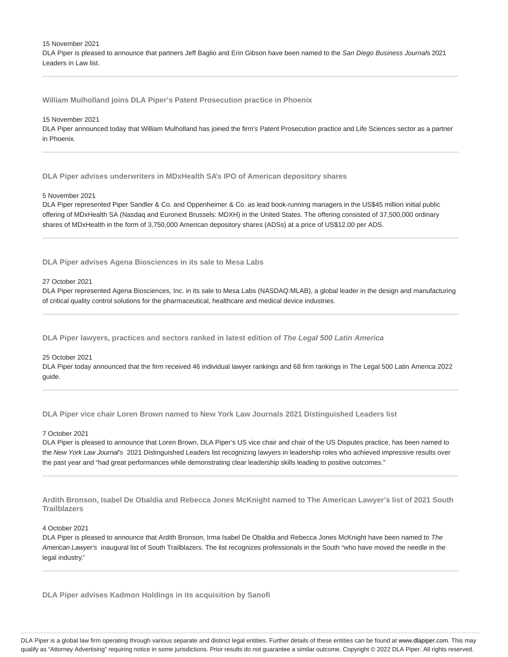15 November 2021

DLA Piper is pleased to announce that partners Jeff Baglio and Erin Gibson have been named to the San Diego Business Journal's 2021 Leaders in Law list.

**William Mulholland joins DLA Piper's Patent Prosecution practice in Phoenix**

#### 15 November 2021

DLA Piper announced today that William Mulholland has joined the firm's Patent Prosecution practice and Life Sciences sector as a partner in Phoenix.

**DLA Piper advises underwriters in MDxHealth SA's IPO of American depository shares**

### 5 November 2021

DLA Piper represented Piper Sandler & Co. and Oppenheimer & Co. as lead book-running managers in the US\$45 million initial public offering of MDxHealth SA (Nasdaq and Euronext Brussels: MDXH) in the United States. The offering consisted of 37,500,000 ordinary shares of MDxHealth in the form of 3,750,000 American depository shares (ADSs) at a price of US\$12.00 per ADS.

**DLA Piper advises Agena Biosciences in its sale to Mesa Labs**

### 27 October 2021

DLA Piper represented Agena Biosciences, Inc. in its sale to Mesa Labs (NASDAQ:MLAB), a global leader in the design and manufacturing of critical quality control solutions for the pharmaceutical, healthcare and medical device industries.

**DLA Piper lawyers, practices and sectors ranked in latest edition of The Legal 500 Latin America**

# 25 October 2021

DLA Piper today announced that the firm received 46 individual lawyer rankings and 68 firm rankings in The Legal 500 Latin America 2022 guide.

**DLA Piper vice chair Loren Brown named to New York Law Journals 2021 Distinguished Leaders list**

### 7 October 2021

DLA Piper is pleased to announce that Loren Brown, DLA Piper's US vice chair and chair of the US Disputes practice, has been named to the New York Law Journal's 2021 Distinguished Leaders list recognizing lawyers in leadership roles who achieved impressive results over the past year and "had great performances while demonstrating clear leadership skills leading to positive outcomes."

**Ardith Bronson, Isabel De Obaldia and Rebecca Jones McKnight named to The American Lawyer's list of 2021 South Trailblazers**

### 4 October 2021

DLA Piper is pleased to announce that Ardith Bronson, Irma Isabel De Obaldia and Rebecca Jones McKnight have been named to The American Lawyer's inaugural list of South Trailblazers. The list recognizes professionals in the South "who have moved the needle in the legal industry."

**DLA Piper advises Kadmon Holdings in its acquisition by Sanofi**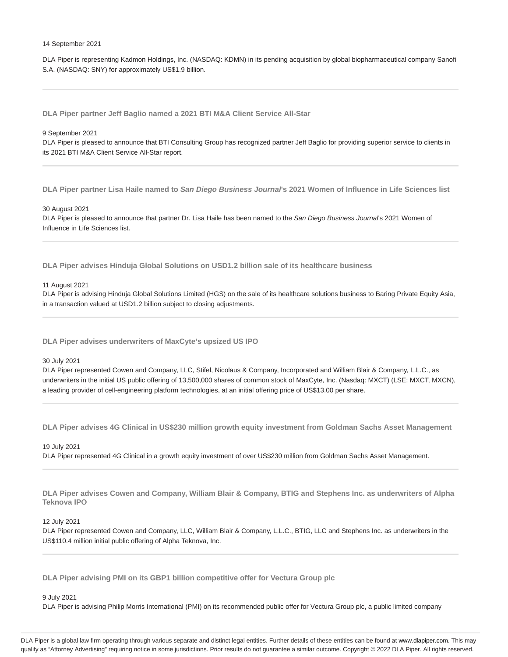### 14 September 2021

DLA Piper is representing Kadmon Holdings, Inc. (NASDAQ: KDMN) in its pending acquisition by global biopharmaceutical company Sanofi S.A. (NASDAQ: SNY) for approximately US\$1.9 billion.

**DLA Piper partner Jeff Baglio named a 2021 BTI M&A Client Service All-Star**

#### 9 September 2021

DLA Piper is pleased to announce that BTI Consulting Group has recognized partner Jeff Baglio for providing superior service to clients in its 2021 BTI M&A Client Service All-Star report.

**DLA Piper partner Lisa Haile named to San Diego Business Journal's 2021 Women of Influence in Life Sciences list**

#### 30 August 2021

DLA Piper is pleased to announce that partner Dr. Lisa Haile has been named to the San Diego Business Journal's 2021 Women of Influence in Life Sciences list.

**DLA Piper advises Hinduja Global Solutions on USD1.2 billion sale of its healthcare business**

11 August 2021

DLA Piper is advising Hinduja Global Solutions Limited (HGS) on the sale of its healthcare solutions business to Baring Private Equity Asia, in a transaction valued at USD1.2 billion subject to closing adjustments.

**DLA Piper advises underwriters of MaxCyte's upsized US IPO**

### 30 July 2021

DLA Piper represented Cowen and Company, LLC, Stifel, Nicolaus & Company, Incorporated and William Blair & Company, L.L.C., as underwriters in the initial US public offering of 13,500,000 shares of common stock of MaxCyte, Inc. (Nasdaq: MXCT) (LSE: MXCT, MXCN), a leading provider of cell-engineering platform technologies, at an initial offering price of US\$13.00 per share.

**DLA Piper advises 4G Clinical in US\$230 million growth equity investment from Goldman Sachs Asset Management**

19 July 2021

DLA Piper represented 4G Clinical in a growth equity investment of over US\$230 million from Goldman Sachs Asset Management.

**DLA Piper advises Cowen and Company, William Blair & Company, BTIG and Stephens Inc. as underwriters of Alpha Teknova IPO**

# 12 July 2021

DLA Piper represented Cowen and Company, LLC, William Blair & Company, L.L.C., BTIG, LLC and Stephens Inc. as underwriters in the US\$110.4 million initial public offering of Alpha Teknova, Inc.

**DLA Piper advising PMI on its GBP1 billion competitive offer for Vectura Group plc**

9 July 2021

DLA Piper is advising Philip Morris International (PMI) on its recommended public offer for Vectura Group plc, a public limited company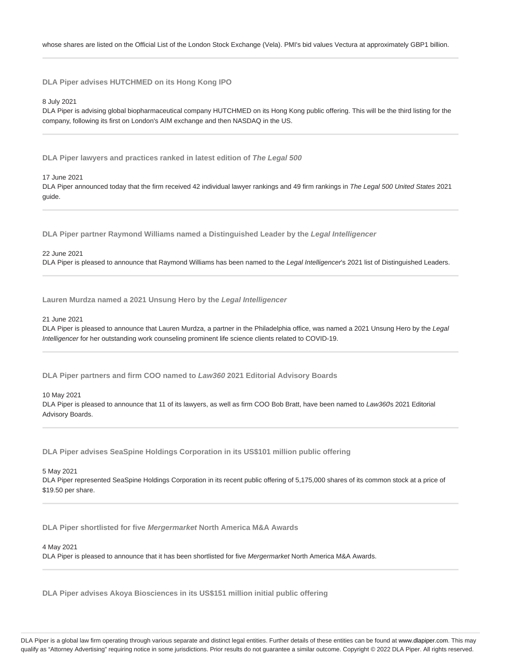**DLA Piper advises HUTCHMED on its Hong Kong IPO**

8 July 2021

DLA Piper is advising global biopharmaceutical company HUTCHMED on its Hong Kong public offering. This will be the third listing for the company, following its first on London's AIM exchange and then NASDAQ in the US.

**DLA Piper lawyers and practices ranked in latest edition of The Legal 500**

17 June 2021

DLA Piper announced today that the firm received 42 individual lawyer rankings and 49 firm rankings in The Legal 500 United States 2021 guide.

**DLA Piper partner Raymond Williams named a Distinguished Leader by the Legal Intelligencer**

### 22 June 2021

DLA Piper is pleased to announce that Raymond Williams has been named to the Legal Intelligencer's 2021 list of Distinguished Leaders.

**Lauren Murdza named a 2021 Unsung Hero by the Legal Intelligencer**

# 21 June 2021

DLA Piper is pleased to announce that Lauren Murdza, a partner in the Philadelphia office, was named a 2021 Unsung Hero by the Legal Intelligencer for her outstanding work counseling prominent life science clients related to COVID-19.

**DLA Piper partners and firm COO named to Law360 2021 Editorial Advisory Boards**

10 May 2021

DLA Piper is pleased to announce that 11 of its lawyers, as well as firm COO Bob Bratt, have been named to Law360s 2021 Editorial Advisory Boards.

**DLA Piper advises SeaSpine Holdings Corporation in its US\$101 million public offering**

### 5 May 2021

DLA Piper represented SeaSpine Holdings Corporation in its recent public offering of 5,175,000 shares of its common stock at a price of \$19.50 per share.

**DLA Piper shortlisted for five Mergermarket North America M&A Awards**

#### 4 May 2021

DLA Piper is pleased to announce that it has been shortlisted for five Mergermarket North America M&A Awards.

**DLA Piper advises Akoya Biosciences in its US\$151 million initial public offering**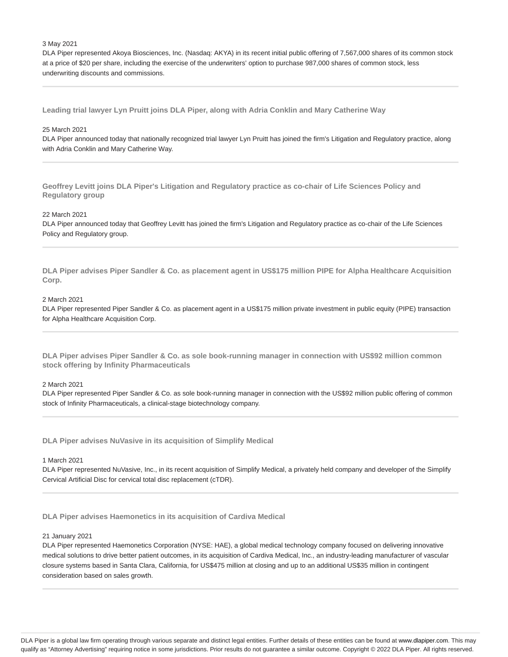### 3 May 2021

DLA Piper represented Akoya Biosciences, Inc. (Nasdaq: AKYA) in its recent initial public offering of 7,567,000 shares of its common stock at a price of \$20 per share, including the exercise of the underwriters' option to purchase 987,000 shares of common stock, less underwriting discounts and commissions.

**Leading trial lawyer Lyn Pruitt joins DLA Piper, along with Adria Conklin and Mary Catherine Way**

# 25 March 2021

DLA Piper announced today that nationally recognized trial lawyer Lyn Pruitt has joined the firm's Litigation and Regulatory practice, along with Adria Conklin and Mary Catherine Way.

**Geoffrey Levitt joins DLA Piper's Litigation and Regulatory practice as co-chair of Life Sciences Policy and Regulatory group**

### 22 March 2021

DLA Piper announced today that Geoffrey Levitt has joined the firm's Litigation and Regulatory practice as co-chair of the Life Sciences Policy and Regulatory group.

**DLA Piper advises Piper Sandler & Co. as placement agent in US\$175 million PIPE for Alpha Healthcare Acquisition Corp.**

# 2 March 2021

DLA Piper represented Piper Sandler & Co. as placement agent in a US\$175 million private investment in public equity (PIPE) transaction for Alpha Healthcare Acquisition Corp.

**DLA Piper advises Piper Sandler & Co. as sole book-running manager in connection with US\$92 million common stock offering by Infinity Pharmaceuticals**

### 2 March 2021

DLA Piper represented Piper Sandler & Co. as sole book-running manager in connection with the US\$92 million public offering of common stock of Infinity Pharmaceuticals, a clinical-stage biotechnology company.

**DLA Piper advises NuVasive in its acquisition of Simplify Medical**

# 1 March 2021

DLA Piper represented NuVasive, Inc., in its recent acquisition of Simplify Medical, a privately held company and developer of the Simplify Cervical Artificial Disc for cervical total disc replacement (cTDR).

**DLA Piper advises Haemonetics in its acquisition of Cardiva Medical**

### 21 January 2021

DLA Piper represented Haemonetics Corporation (NYSE: HAE), a global medical technology company focused on delivering innovative medical solutions to drive better patient outcomes, in its acquisition of Cardiva Medical, Inc., an industry-leading manufacturer of vascular closure systems based in Santa Clara, California, for US\$475 million at closing and up to an additional US\$35 million in contingent consideration based on sales growth.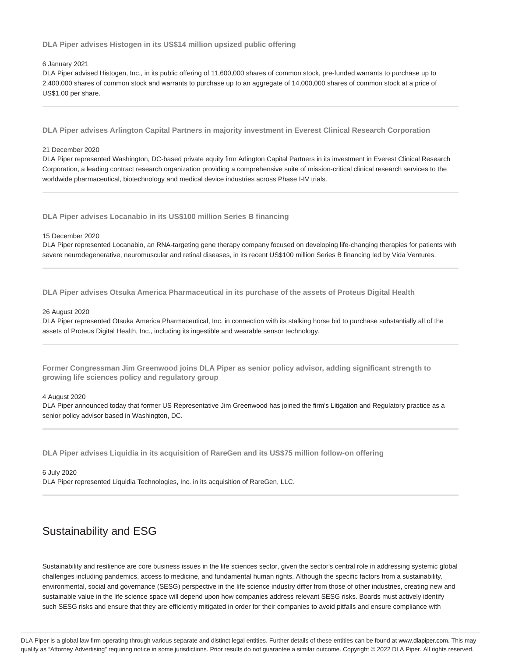**DLA Piper advises Histogen in its US\$14 million upsized public offering**

### 6 January 2021

DLA Piper advised Histogen, Inc., in its public offering of 11,600,000 shares of common stock, pre-funded warrants to purchase up to 2,400,000 shares of common stock and warrants to purchase up to an aggregate of 14,000,000 shares of common stock at a price of US\$1.00 per share.

**DLA Piper advises Arlington Capital Partners in majority investment in Everest Clinical Research Corporation**

#### 21 December 2020

DLA Piper represented Washington, DC-based private equity firm Arlington Capital Partners in its investment in Everest Clinical Research Corporation, a leading contract research organization providing a comprehensive suite of mission-critical clinical research services to the worldwide pharmaceutical, biotechnology and medical device industries across Phase I-IV trials.

**DLA Piper advises Locanabio in its US\$100 million Series B financing**

#### 15 December 2020

DLA Piper represented Locanabio, an RNA-targeting gene therapy company focused on developing life-changing therapies for patients with severe neurodegenerative, neuromuscular and retinal diseases, in its recent US\$100 million Series B financing led by Vida Ventures.

**DLA Piper advises Otsuka America Pharmaceutical in its purchase of the assets of Proteus Digital Health**

#### 26 August 2020

DLA Piper represented Otsuka America Pharmaceutical, Inc. in connection with its stalking horse bid to purchase substantially all of the assets of Proteus Digital Health, Inc., including its ingestible and wearable sensor technology.

**Former Congressman Jim Greenwood joins DLA Piper as senior policy advisor, adding significant strength to growing life sciences policy and regulatory group**

#### 4 August 2020

DLA Piper announced today that former US Representative Jim Greenwood has joined the firm's Litigation and Regulatory practice as a senior policy advisor based in Washington, DC.

**DLA Piper advises Liquidia in its acquisition of RareGen and its US\$75 million follow-on offering**

6 July 2020 DLA Piper represented Liquidia Technologies, Inc. in its acquisition of RareGen, LLC.

# Sustainability and ESG

Sustainability and resilience are core business issues in the life sciences sector, given the sector's central role in addressing systemic global challenges including pandemics, access to medicine, and fundamental human rights. Although the specific factors from a sustainability, environmental, social and governance (SESG) perspective in the life science industry differ from those of other industries, creating new and sustainable value in the life science space will depend upon how companies address relevant SESG risks. Boards must actively identify such SESG risks and ensure that they are efficiently mitigated in order for their companies to avoid pitfalls and ensure compliance with